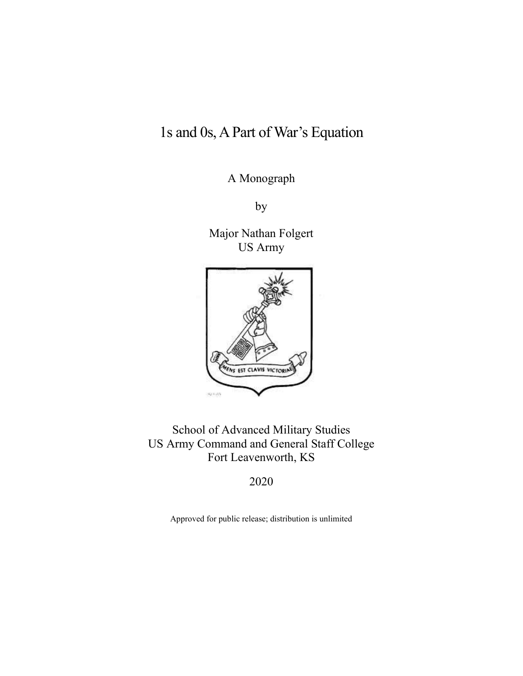# 1s and 0s, APart of War's Equation

A Monograph

by

Major Nathan Folgert US Army



School of Advanced Military Studies US Army Command and General Staff College Fort Leavenworth, KS

2020

Approved for public release; distribution is unlimited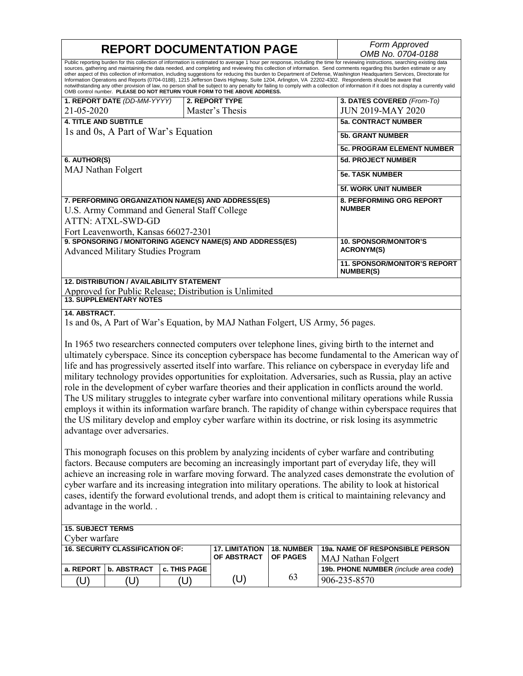#### Information Operations and Reports (0704-0188), 1215 Jefferson Davis Highway, Suite 1204, Arlington, VA 22202-4302. Respondents should be aware that<br>notwithstanding any other provision of law, no person shall be subject to OMB control number. **PLEASE DO NOT RETURN YOUR FORM TO THE ABOVE ADDRESS.**  U.S. Army Command and General Staff College<br>ATTN: ATXL-SWD-GD<br>Fort Leavenworth, Kansas 66027-2301  **9. SPONSORING / MONITORING AGENCY NAME(S) AND ADDRESS(ES) REPORT DOCUMENTATION PAGE** *Form Approved OMB No. 0704-0188*  Public reporting burden for this collection of information is estimated to average 1 hour per response, including the time for reviewing instructions, searching existing data sources, gathering and maintaining the data needed, and completing and reviewing this collection of information. Send comments regarding this burden estimate or any<br>other aspect of this collection of information, including **1. REPORT DATE** *(DD-MM-YYYY)*  21-05-2020 **2. REPORT TYPE**  Master's Thesis **3. DATES COVERED** *(From-To)*  JUN 2019-MAY 2020 **4. TITLE AND SUBTITLE**  1s and 0s, A Part of War's Equation **5a. CONTRACT NUMBER 5b. GRANT NUMBER 5c. PROGRAM ELEMENT NUMBER 6. AUTHOR(S)**  MAJ Nathan Folgert **5d. PROJECT NUMBER 5e. TASK NUMBER 5f. WORK UNIT NUMBER 7. PERFORMING ORGANIZATION NAME(S) AND ADDRESS(ES) 8. PERFORMING ORG REPORT NUMBER**  Advanced Military Studies Program **10. SPONSOR/MONITOR'S ACRONYM(S) 11. SPONSOR/MONITOR'S REPORT NUMBER(S) 12. DISTRIBUTION / AVAILABILITY STATEMENT**  Approved for Public Release; Distribution is Unlimited **13. SUPPLEMENTARY NOTES**

#### **14. ABSTRACT.**

1s and 0s, A Part of War's Equation, by MAJ Nathan Folgert, US Army, 56 pages.

 In 1965 two researchers connected computers over telephone lines, giving birth to the internet and ultimately cyberspace. Since its conception cyberspace has become fundamental to the American way of life and has progressively asserted itself into warfare. This reliance on cyberspace in everyday life and military technology provides opportunities for exploitation. Adversaries, such as Russia, play an active role in the development of cyber warfare theories and their application in conflicts around the world. The US military struggles to integrate cyber warfare into conventional military operations while Russia employs it within its information warfare branch. The rapidity of change within cyberspace requires that the US military develop and employ cyber warfare within its doctrine, or risk losing its asymmetric advantage over adversaries.

This monograph focuses on this problem by analyzing incidents of cyber warfare and contributing factors. Because computers are becoming an increasingly important part of everyday life, they will achieve an increasing role in warfare moving forward. The analyzed cases demonstrate the evolution of cyber warfare and its increasing integration into military operations. The ability to look at historical cases, identify the forward evolutional trends, and adopt them is critical to maintaining relevancy and advantage in the world. .

#### **15. SUBJECT TERMS**  Cyber warfare **16. SECURITY CLASSIFICATION OF: 17. LIMITATION OF ABSTRACT**  (U) **18. NUMBER OF PAGES**  63 **19a. NAME OF RESPONSIBLE PERSON**  MAJ Nathan Folgert **a. REPORT b. ABSTRACT c. THIS PAGE 199. COMPLEMENT 19b. PHONE NUMBER** *(include area code*) (U)  $|$  (U)  $|$  (U)  $|$  (U)  $|$   $^{63}$   $|906-235-8570$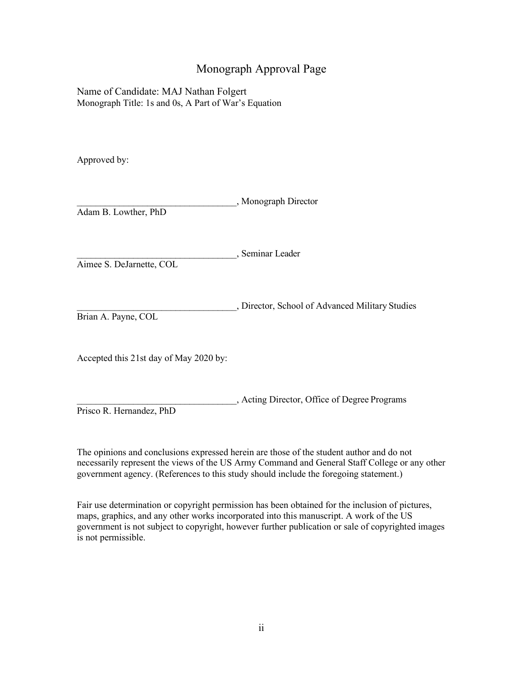# Monograph Approval Page

 Monograph Title: 1s and 0s, A Part of War's Equation Name of Candidate: MAJ Nathan Folgert

Approved by:

\_\_\_\_\_\_\_\_\_\_\_\_\_\_\_\_\_\_\_\_\_\_\_\_\_\_\_\_\_\_\_\_\_\_, Monograph Director Adam B. Lowther, PhD

\_\_\_\_\_\_\_\_\_\_\_\_\_\_\_\_\_\_\_\_\_\_\_\_\_\_\_\_\_\_\_\_\_\_, Seminar Leader

Aimee S. DeJarnette, COL

\_\_\_\_\_\_\_\_\_\_\_\_\_\_\_\_\_\_\_\_\_\_\_\_\_\_\_\_\_\_\_\_\_\_, Director, School of Advanced Military Studies Brian A. Payne, COL

Accepted this 21st day of May 2020 by:

\_\_\_\_\_\_\_\_\_\_\_\_\_\_\_\_\_\_\_\_\_\_\_\_\_\_\_\_\_\_\_\_\_\_, Acting Director, Office of Degree Programs

Prisco R. Hernandez, PhD

The opinions and conclusions expressed herein are those of the student author and do not necessarily represent the views of the US Army Command and General Staff College or any other government agency. (References to this study should include the foregoing statement.)

 maps, graphics, and any other works incorporated into this manuscript. A work of the US Fair use determination or copyright permission has been obtained for the inclusion of pictures, government is not subject to copyright, however further publication or sale of copyrighted images is not permissible.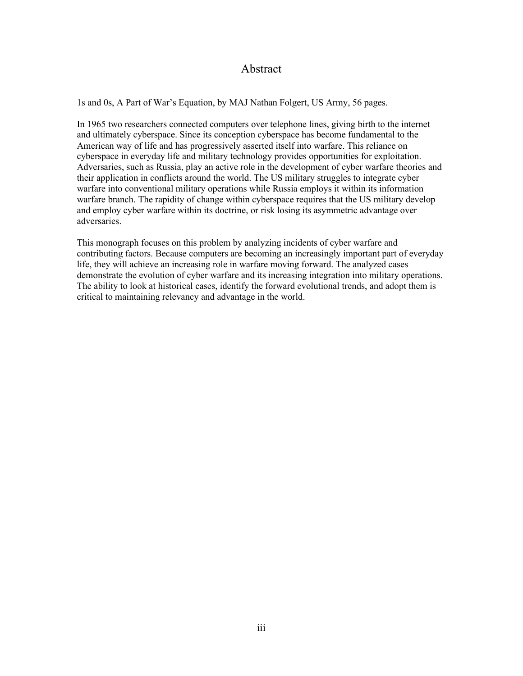# Abstract

1s and 0s, A Part of War's Equation, by MAJ Nathan Folgert, US Army, 56 pages.

 In 1965 two researchers connected computers over telephone lines, giving birth to the internet and employ cyber warfare within its doctrine, or risk losing its asymmetric advantage over and ultimately cyberspace. Since its conception cyberspace has become fundamental to the American way of life and has progressively asserted itself into warfare. This reliance on cyberspace in everyday life and military technology provides opportunities for exploitation. Adversaries, such as Russia, play an active role in the development of cyber warfare theories and their application in conflicts around the world. The US military struggles to integrate cyber warfare into conventional military operations while Russia employs it within its information warfare branch. The rapidity of change within cyberspace requires that the US military develop adversaries.

 The ability to look at historical cases, identify the forward evolutional trends, and adopt them is This monograph focuses on this problem by analyzing incidents of cyber warfare and contributing factors. Because computers are becoming an increasingly important part of everyday life, they will achieve an increasing role in warfare moving forward. The analyzed cases demonstrate the evolution of cyber warfare and its increasing integration into military operations. critical to maintaining relevancy and advantage in the world.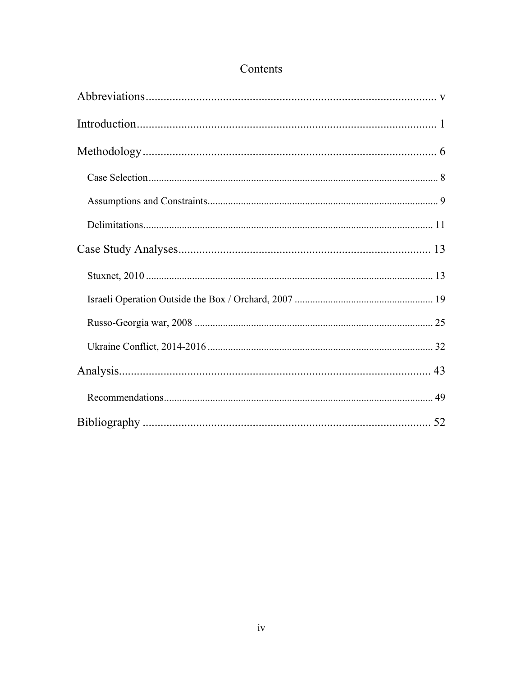# Contents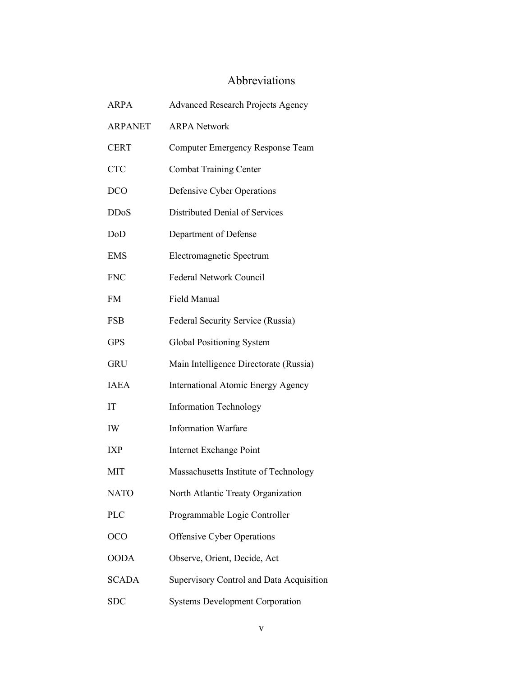# Abbreviations

<span id="page-5-0"></span>

| ARPA           | <b>Advanced Research Projects Agency</b>  |
|----------------|-------------------------------------------|
| <b>ARPANET</b> | <b>ARPA Network</b>                       |
| <b>CERT</b>    | Computer Emergency Response Team          |
| <b>CTC</b>     | <b>Combat Training Center</b>             |
| <b>DCO</b>     | Defensive Cyber Operations                |
| <b>DDoS</b>    | Distributed Denial of Services            |
| DoD            | Department of Defense                     |
| <b>EMS</b>     | Electromagnetic Spectrum                  |
| <b>FNC</b>     | <b>Federal Network Council</b>            |
| <b>FM</b>      | Field Manual                              |
| <b>FSB</b>     | Federal Security Service (Russia)         |
| <b>GPS</b>     | Global Positioning System                 |
| <b>GRU</b>     | Main Intelligence Directorate (Russia)    |
| <b>IAEA</b>    | <b>International Atomic Energy Agency</b> |
| IT             | <b>Information Technology</b>             |
| IW             | <b>Information Warfare</b>                |
| <b>IXP</b>     | Internet Exchange Point                   |
| MIT            | Massachusetts Institute of Technology     |
| <b>NATO</b>    | North Atlantic Treaty Organization        |
| <b>PLC</b>     | Programmable Logic Controller             |
| <b>OCO</b>     | <b>Offensive Cyber Operations</b>         |
| <b>OODA</b>    | Observe, Orient, Decide, Act              |
| <b>SCADA</b>   | Supervisory Control and Data Acquisition  |
| <b>SDC</b>     | <b>Systems Development Corporation</b>    |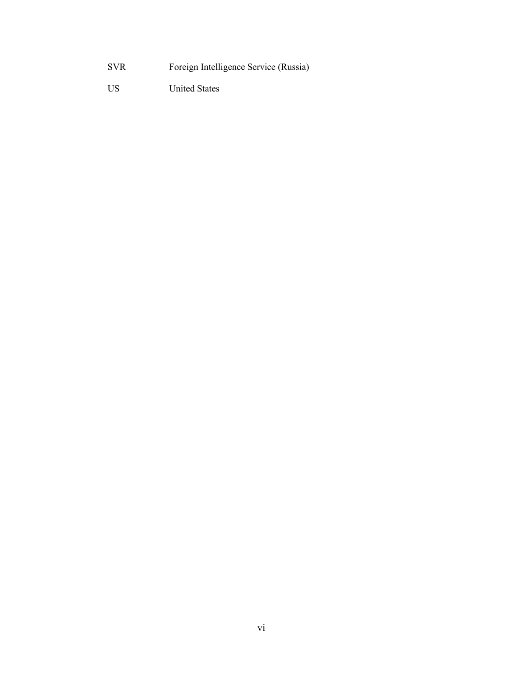- SVR Foreign Intelligence Service (Russia)
- US United States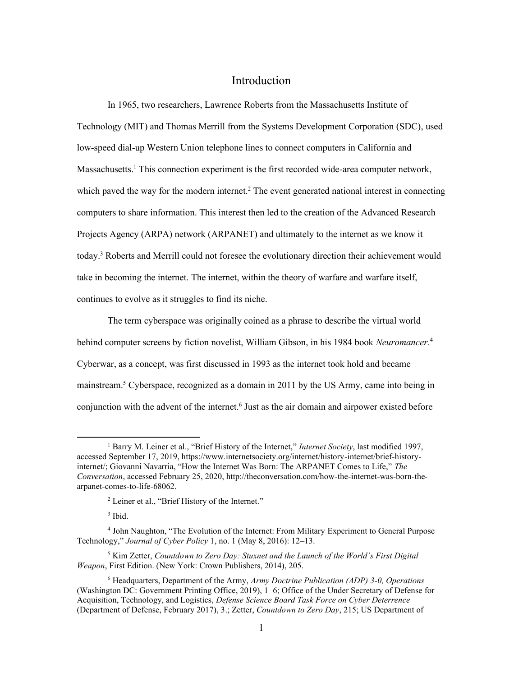# Introduction

<span id="page-7-0"></span>which paved the way for the modern internet.<sup>2</sup> The event generated national interest in connecting In 1965, two researchers, Lawrence Roberts from the Massachusetts Institute of Technology (MIT) and Thomas Merrill from the Systems Development Corporation (SDC), used low-speed dial-up Western Union telephone lines to connect computers in California and Massachusetts.<sup>1</sup> This connection experiment is the first recorded wide-area computer network, computers to share information. This interest then led to the creation of the Advanced Research Projects Agency (ARPA) network (ARPANET) and ultimately to the internet as we know it today.3 Roberts and Merrill could not foresee the evolutionary direction their achievement would take in becoming the internet. The internet, within the theory of warfare and warfare itself, continues to evolve as it struggles to find its niche.

conjunction with the advent of the internet.<sup>6</sup> Just as the air domain and airpower existed before The term cyberspace was originally coined as a phrase to describe the virtual world behind computer screens by fiction novelist, William Gibson, in his 1984 book *Neuromancer*. 4 Cyberwar, as a concept, was first discussed in 1993 as the internet took hold and became mainstream.5 Cyberspace, recognized as a domain in 2011 by the US Army, came into being in

3 Ibid.

 5 Kim Zetter, *Countdown to Zero Day: Stuxnet and the Launch of the World's First Digital Weapon*, First Edition. (New York: Crown Publishers, 2014), 205.

<sup>&</sup>lt;sup>1</sup> Barry M. Leiner et al., "Brief History of the Internet," Internet Society, last modified 1997, accessed September 17, 2019, <https://www.internetsociety.org/internet/history-internet/brief-history>- internet/; Giovanni Navarria, "How the Internet Was Born: The ARPANET Comes to Life," *The Conversation*, accessed February 25, 2020, <http://theconversation.com/how-the-internet-was-born-the>arpanet-comes-to-life-68062.

 $2$  Leiner et al., "Brief History of the Internet."

 4 John Naughton, "The Evolution of the Internet: From Military Experiment to General Purpose Technology," *Journal of Cyber Policy* 1, no. 1 (May 8, 2016): 12–13.

 6 Headquarters, Department of the Army, *Army Doctrine Publication (ADP) 3-0, Operations*  (Washington DC: Government Printing Office, 2019), 1–6; Office of the Under Secretary of Defense for Acquisition, Technology, and Logistics, *Defense Science Board Task Force on Cyber Deterrence*  (Department of Defense, February 2017), 3.; Zetter, *Countdown to Zero Day*, 215; US Department of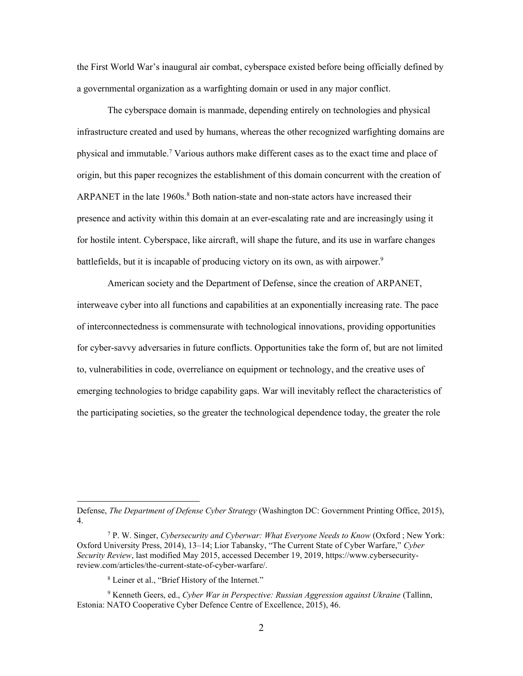the First World War's inaugural air combat, cyberspace existed before being officially defined by a governmental organization as a warfighting domain or used in any major conflict.

 infrastructure created and used by humans, whereas the other recognized warfighting domains are The cyberspace domain is manmade, depending entirely on technologies and physical physical and immutable.7 Various authors make different cases as to the exact time and place of origin, but this paper recognizes the establishment of this domain concurrent with the creation of ARPANET in the late 1960s. 8 Both nation-state and non-state actors have increased their presence and activity within this domain at an ever-escalating rate and are increasingly using it for hostile intent. Cyberspace, like aircraft, will shape the future, and its use in warfare changes battlefields, but it is incapable of producing victory on its own, as with airpower.<sup>9</sup>

 for cyber-savvy adversaries in future conflicts. Opportunities take the form of, but are not limited emerging technologies to bridge capability gaps. War will inevitably reflect the characteristics of American society and the Department of Defense, since the creation of ARPANET, interweave cyber into all functions and capabilities at an exponentially increasing rate. The pace of interconnectedness is commensurate with technological innovations, providing opportunities to, vulnerabilities in code, overreliance on equipment or technology, and the creative uses of the participating societies, so the greater the technological dependence today, the greater the role

 Defense, *The Department of Defense Cyber Strategy* (Washington DC: Government Printing Office, 2015), 4.

 7 P. W. Singer, *Cybersecurity and Cyberwar: What Everyone Needs to Know* (Oxford ; New York: Oxford University Press, 2014), 13–14; Lior Tabansky, "The Current State of Cyber Warfare," *Cyber Security Review*, last modified May 2015, accessed December 19, 2019,<https://www.cybersecurity>[review.com/articles/the-current-state-of-cyber-warfare](https://review.com/articles/the-current-state-of-cyber-warfare)/.

 8 Leiner et al., "Brief History of the Internet."

<sup>&</sup>lt;sup>9</sup> Kenneth Geers, ed., *Cyber War in Perspective: Russian Aggression against Ukraine* (Tallinn, Estonia: NATO Cooperative Cyber Defence Centre of Excellence, 2015), 46.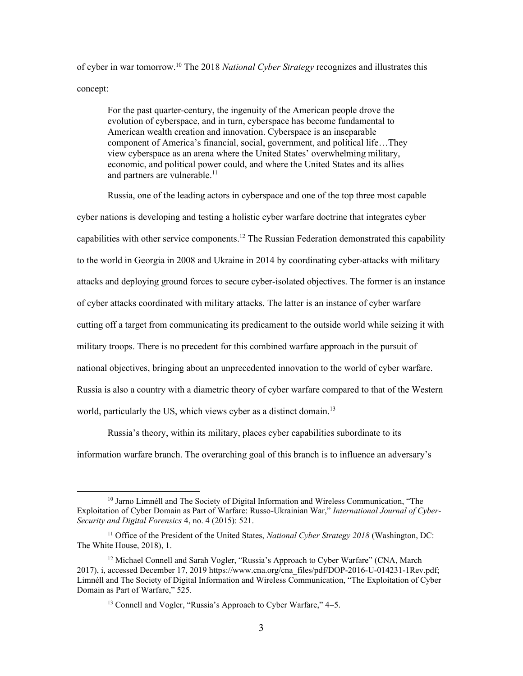of cyber in war [tomorrow.10](https://tomorrow.10) The 2018 *National Cyber Strategy* recognizes and illustrates this concept:

For the past quarter-century, the ingenuity of the American people drove the evolution of cyberspace, and in turn, cyberspace has become fundamental to American wealth creation and innovation. Cyberspace is an inseparable component of America's financial, social, government, and political life…They view cyberspace as an arena where the United States' overwhelming military, economic, and political power could, and where the United States and its allies and partners are vulnerable.<sup>11</sup>

 Russia, one of the leading actors in cyberspace and one of the top three most capable cutting off a target from communicating its predicament to the outside world while seizing it with cyber nations is developing and testing a holistic cyber warfare doctrine that integrates cyber capabilities with other service [components.](https://components.12)<sup>12</sup> The Russian Federation demonstrated this capability to the world in Georgia in 2008 and Ukraine in 2014 by coordinating cyber-attacks with military attacks and deploying ground forces to secure cyber-isolated objectives. The former is an instance of cyber attacks coordinated with military attacks. The latter is an instance of cyber warfare military troops. There is no precedent for this combined warfare approach in the pursuit of national objectives, bringing about an unprecedented innovation to the world of cyber warfare. Russia is also a country with a diametric theory of cyber warfare compared to that of the Western world, particularly the US, which views cyber as a distinct domain.<sup>13</sup>

Russia's theory, within its military, places cyber capabilities subordinate to its information warfare branch. The overarching goal of this branch is to influence an adversary's

<sup>&</sup>lt;sup>10</sup> Jarno Limnéll and The Society of Digital Information and Wireless Communication, "The Exploitation of Cyber Domain as Part of Warfare: Russo-Ukrainian War," *International Journal of Cyber-Security and Digital Forensics* 4, no. 4 (2015): 521.

 11 Office of the President of the United States, *National Cyber Strategy 2018* (Washington, DC: The White House, 2018), 1.

<sup>&</sup>lt;sup>12</sup> Michael Connell and Sarah Vogler, "Russia's Approach to Cyber Warfare" (CNA, March 2017), i, accessed December 17, 2019 [https://www.cna.org/cna\\_files/pdf/DOP-2016-U-014231-1Rev.pdf;](https://www.cna.org/cna_files/pdf/DOP-2016-U-014231-1Rev.pdf) Limnéll and The Society of Digital Information and Wireless Communication, "The Exploitation of Cyber Domain as Part of Warfare," 525.

<sup>&</sup>lt;sup>13</sup> Connell and Vogler, "Russia's Approach to Cyber Warfare," 4-5.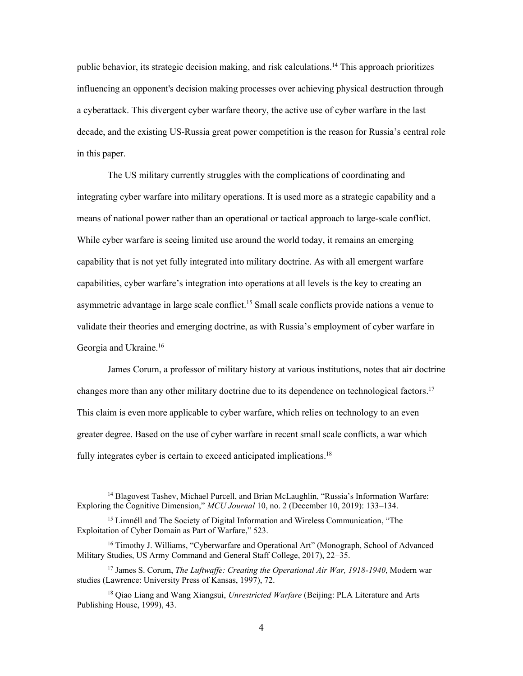public behavior, its strategic decision making, and risk [calculations.14](https://calculations.14) This approach prioritizes influencing an opponent's decision making processes over achieving physical destruction through a cyberattack. This divergent cyber warfare theory, the active use of cyber warfare in the last decade, and the existing US-Russia great power competition is the reason for Russia's central role in this paper.

 means of national power rather than an operational or tactical approach to large-scale conflict. The US military currently struggles with the complications of coordinating and integrating cyber warfare into military operations. It is used more as a strategic capability and a While cyber warfare is seeing limited use around the world today, it remains an emerging capability that is not yet fully integrated into military doctrine. As with all emergent warfare capabilities, cyber warfare's integration into operations at all levels is the key to creating an asymmetric advantage in large scale conflict.<sup>15</sup> Small scale conflicts provide nations a venue to validate their theories and emerging doctrine, as with Russia's employment of cyber warfare in Georgia and Ukraine.<sup>16</sup>

James Corum, a professor of military history at various institutions, notes that air doctrine changes more than any other military doctrine due to its dependence on technological [factors.](https://factors.17)<sup>17</sup> This claim is even more applicable to cyber warfare, which relies on technology to an even greater degree. Based on the use of cyber warfare in recent small scale conflicts, a war which fully integrates cyber is certain to exceed anticipated [implications.](https://implications.18)<sup>18</sup>

<sup>&</sup>lt;sup>14</sup> Blagovest Tashev, Michael Purcell, and Brian McLaughlin, "Russia's Information Warfare: Exploring the Cognitive Dimension," *MCU Journal* 10, no. 2 (December 10, 2019): 133–134.

<sup>&</sup>lt;sup>15</sup> Limnéll and The Society of Digital Information and Wireless Communication, "The Exploitation of Cyber Domain as Part of Warfare," 523.

<sup>&</sup>lt;sup>16</sup> Timothy J. Williams, "Cyberwarfare and Operational Art" (Monograph, School of Advanced Military Studies, US Army Command and General Staff College, 2017), 22–35.

<sup>&</sup>lt;sup>17</sup> James S. Corum, *The Luftwaffe: Creating the Operational Air War, 1918-1940*, Modern war studies (Lawrence: University Press of Kansas, 1997), 72.

 18 Qiao Liang and Wang Xiangsui, *Unrestricted Warfare* (Beijing: PLA Literature and Arts Publishing House, 1999), 43.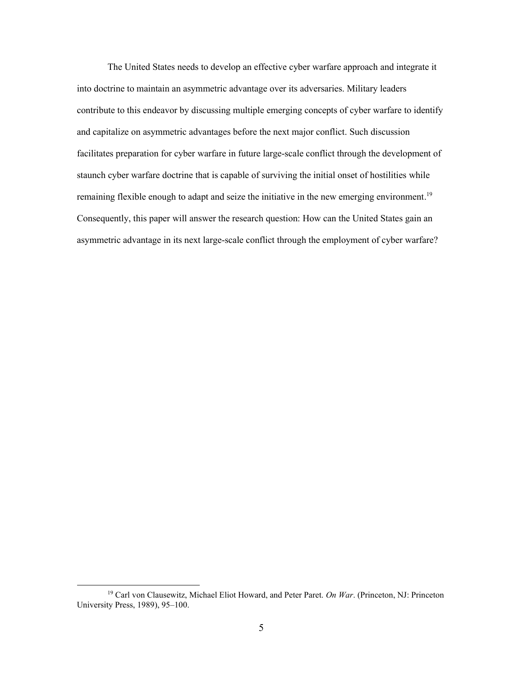The United States needs to develop an effective cyber warfare approach and integrate it into doctrine to maintain an asymmetric advantage over its adversaries. Military leaders contribute to this endeavor by discussing multiple emerging concepts of cyber warfare to identify and capitalize on asymmetric advantages before the next major conflict. Such discussion facilitates preparation for cyber warfare in future large-scale conflict through the development of staunch cyber warfare doctrine that is capable of surviving the initial onset of hostilities while remaining flexible enough to adapt and seize the initiative in the new emerging [environment.](https://environment.19)<sup>19</sup> Consequently, this paper will answer the research question: How can the United States gain an asymmetric advantage in its next large-scale conflict through the employment of cyber warfare?

 19 Carl von Clausewitz, Michael Eliot Howard, and Peter Paret. *On War*. (Princeton, NJ: Princeton University Press, 1989), 95–100.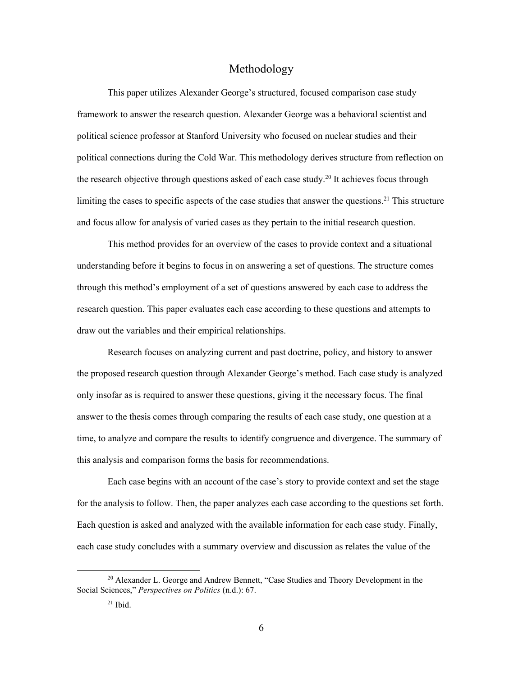### Methodology

<span id="page-12-0"></span>the research objective through questions asked of each case study.<sup>20</sup> It achieves focus through This paper utilizes Alexander George's structured, focused comparison case study framework to answer the research question. Alexander George was a behavioral scientist and political science professor at Stanford University who focused on nuclear studies and their political connections during the Cold War. This methodology derives structure from reflection on limiting the cases to specific aspects of the case studies that answer the questions.<sup>21</sup> This structure and focus allow for analysis of varied cases as they pertain to the initial research question.

This method provides for an overview of the cases to provide context and a situational understanding before it begins to focus in on answering a set of questions. The structure comes through this method's employment of a set of questions answered by each case to address the research question. This paper evaluates each case according to these questions and attempts to draw out the variables and their empirical relationships.

Research focuses on analyzing current and past doctrine, policy, and history to answer the proposed research question through Alexander George's method. Each case study is analyzed only insofar as is required to answer these questions, giving it the necessary focus. The final answer to the thesis comes through comparing the results of each case study, one question at a time, to analyze and compare the results to identify congruence and divergence. The summary of this analysis and comparison forms the basis for recommendations.

 each case study concludes with a summary overview and discussion as relates the value of the Each case begins with an account of the case's story to provide context and set the stage for the analysis to follow. Then, the paper analyzes each case according to the questions set forth. Each question is asked and analyzed with the available information for each case study. Finally,

<sup>&</sup>lt;sup>20</sup> Alexander L. George and Andrew Bennett, "Case Studies and Theory Development in the  Social Sciences," *Perspectives on Politics* (n.d.): 67.

 $21$  Ibid.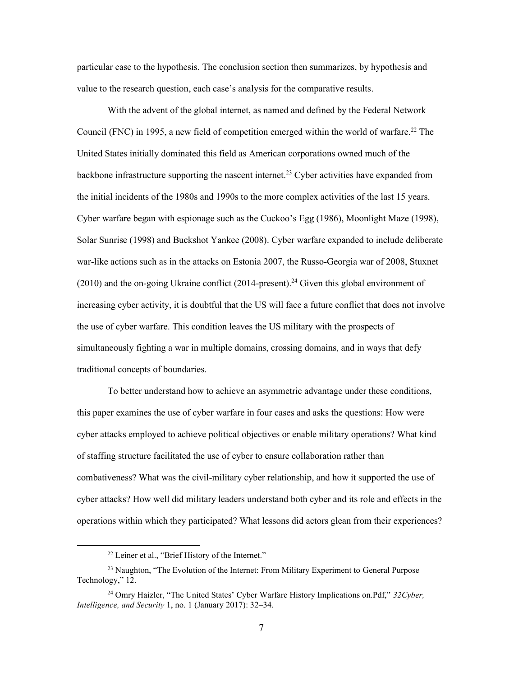particular case to the hypothesis. The conclusion section then summarizes, by hypothesis and value to the research question, each case's analysis for the comparative results.

 the initial incidents of the 1980s and 1990s to the more complex activities of the last 15 years. increasing cyber activity, it is doubtful that the US will face a future conflict that does not involve traditional concepts of boundaries. With the advent of the global internet, as named and defined by the Federal Network Council (FNC) in 1995, a new field of competition emerged within the world of warfare.<sup>22</sup> The United States initially dominated this field as American corporations owned much of the backbone infrastructure supporting the nascent internet.<sup>23</sup> Cyber activities have expanded from Cyber warfare began with espionage such as the Cuckoo's Egg (1986), Moonlight Maze (1998), Solar Sunrise (1998) and Buckshot Yankee (2008). Cyber warfare expanded to include deliberate war-like actions such as in the attacks on Estonia 2007, the Russo-Georgia war of 2008, Stuxnet  $(2010)$  and the on-going Ukraine conflict  $(2014$ -present).<sup>24</sup> Given this global environment of the use of cyber warfare. This condition leaves the US military with the prospects of simultaneously fighting a war in multiple domains, crossing domains, and in ways that defy

To better understand how to achieve an asymmetric advantage under these conditions, this paper examines the use of cyber warfare in four cases and asks the questions: How were cyber attacks employed to achieve political objectives or enable military operations? What kind of staffing structure facilitated the use of cyber to ensure collaboration rather than combativeness? What was the civil-military cyber relationship, and how it supported the use of cyber attacks? How well did military leaders understand both cyber and its role and effects in the operations within which they participated? What lessons did actors glean from their experiences?

<sup>&</sup>lt;sup>22</sup> Leiner et al., "Brief History of the Internet."

<sup>&</sup>lt;sup>23</sup> Naughton, "The Evolution of the Internet: From Military Experiment to General Purpose Technology," 12.

 24 Omry Haizler, "The United States' Cyber Warfare History Implications on.Pdf," *32Cyber, Intelligence, and Security* 1, no. 1 (January 2017): 32–34.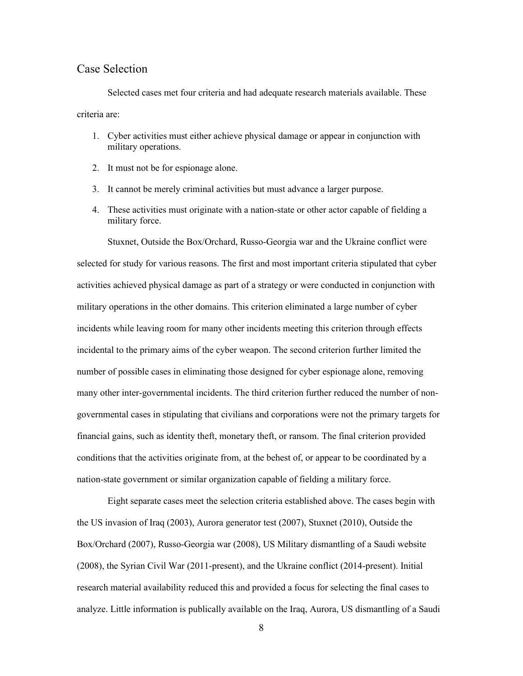### <span id="page-14-0"></span>Case Selection

Selected cases met four criteria and had adequate research materials available. These criteria are:

- 1. Cyber activities must either achieve physical damage or appear in conjunction with military operations.
- 2. It must not be for espionage alone.
- 3. It cannot be merely criminal activities but must advance a larger purpose.
- 4. These activities must originate with a nation-state or other actor capable of fielding a military force.

 military operations in the other domains. This criterion eliminated a large number of cyber incidents while leaving room for many other incidents meeting this criterion through effects nation-state government or similar organization capable of fielding a military force. Stuxnet, Outside the Box/Orchard, Russo-Georgia war and the Ukraine conflict were selected for study for various reasons. The first and most important criteria stipulated that cyber activities achieved physical damage as part of a strategy or were conducted in conjunction with incidental to the primary aims of the cyber weapon. The second criterion further limited the number of possible cases in eliminating those designed for cyber espionage alone, removing many other inter-governmental incidents. The third criterion further reduced the number of nongovernmental cases in stipulating that civilians and corporations were not the primary targets for financial gains, such as identity theft, monetary theft, or ransom. The final criterion provided conditions that the activities originate from, at the behest of, or appear to be coordinated by a

 the US invasion of Iraq (2003), Aurora generator test (2007), Stuxnet (2010), Outside the Eight separate cases meet the selection criteria established above. The cases begin with Box/Orchard (2007), Russo-Georgia war (2008), US Military dismantling of a Saudi website (2008), the Syrian Civil War (2011-present), and the Ukraine conflict (2014-present). Initial research material availability reduced this and provided a focus for selecting the final cases to analyze. Little information is publically available on the Iraq, Aurora, US dismantling of a Saudi

8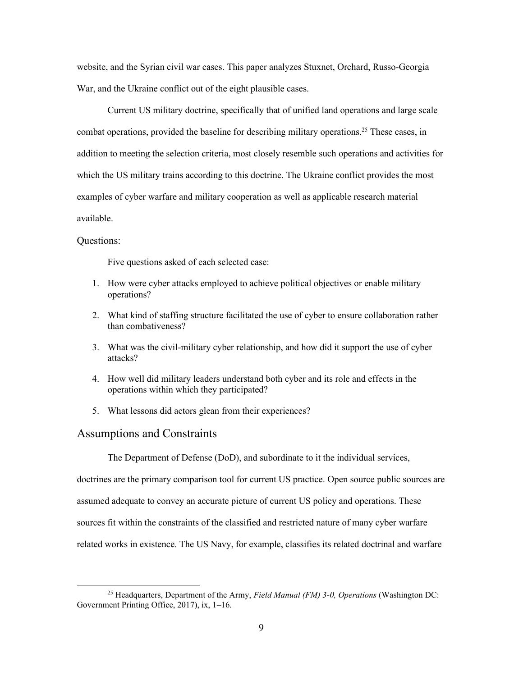War, and the Ukraine conflict out of the eight plausible cases. website, and the Syrian civil war cases. This paper analyzes Stuxnet, Orchard, Russo-Georgia

Current US military doctrine, specifically that of unified land operations and large scale combat operations, provided the baseline for describing military [operations.](https://operations.25) 25 These cases, in addition to meeting the selection criteria, most closely resemble such operations and activities for which the US military trains according to this doctrine. The Ukraine conflict provides the most examples of cyber warfare and military cooperation as well as applicable research material available.

#### Questions:

Five questions asked of each selected case:

- 1. How were cyber attacks employed to achieve political objectives or enable military operations?
- 2. What kind of staffing structure facilitated the use of cyber to ensure collaboration rather than combativeness?
- 3. What was the civil-military cyber relationship, and how did it support the use of cyber attacks?
- 4. How well did military leaders understand both cyber and its role and effects in the operations within which they participated?
- 5. What lessons did actors glean from their experiences?

#### <span id="page-15-0"></span>Assumptions and Constraints

The Department of Defense (DoD), and subordinate to it the individual services,

doctrines are the primary comparison tool for current US practice. Open source public sources are assumed adequate to convey an accurate picture of current US policy and operations. These sources fit within the constraints of the classified and restricted nature of many cyber warfare related works in existence. The US Navy, for example, classifies its related doctrinal and warfare

 25 Headquarters, Department of the Army, *Field Manual (FM) 3-0, Operations* (Washington DC: Government Printing Office, 2017), ix, 1–16.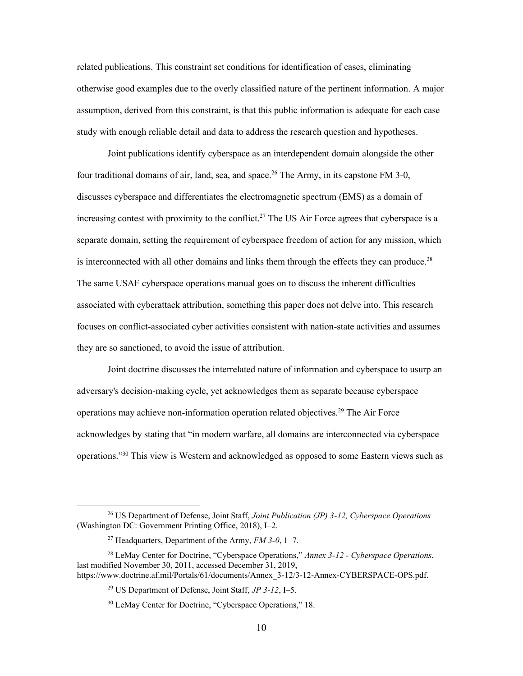related publications. This constraint set conditions for identification of cases, eliminating otherwise good examples due to the overly classified nature of the pertinent information. A major assumption, derived from this constraint, is that this public information is adequate for each case study with enough reliable detail and data to address the research question and hypotheses.

Joint publications identify cyberspace as an interdependent domain alongside the other four traditional domains of air, land, sea, and space.<sup>26</sup> The Army, in its capstone FM 3-0, discusses cyberspace and differentiates the electromagnetic spectrum (EMS) as a domain of increasing contest with proximity to the conflict.<sup>27</sup> The US Air Force agrees that cyberspace is a separate domain, setting the requirement of cyberspace freedom of action for any mission, which is interconnected with all other domains and links them through the effects they can produce.<sup>28</sup> The same USAF cyberspace operations manual goes on to discuss the inherent difficulties associated with cyberattack attribution, something this paper does not delve into. This research focuses on conflict-associated cyber activities consistent with nation-state activities and assumes they are so sanctioned, to avoid the issue of attribution.

Joint doctrine discusses the interrelated nature of information and cyberspace to usurp an adversary's decision-making cycle, yet acknowledges them as separate because cyberspace operations may achieve non-information operation related [objectives.29](https://objectives.29) The Air Force acknowledges by stating that "in modern warfare, all domains are interconnected via cyberspace operations."30 This view is Western and acknowledged as opposed to some Eastern views such as

 26 US Department of Defense, Joint Staff, *Joint Publication (JP) 3-12, Cyberspace Operations*  (Washington DC: Government Printing Office, 2018), I–2.

 27 Headquarters, Department of the Army, *FM 3-0*, 1–7.

 28 LeMay Center for Doctrine, "Cyberspace Operations," *Annex 3-12 - Cyberspace Operations*, last modified November 30, 2011, accessed December 31, 2019, [https://www.doctrine.af.mil/Portals/61/documents/Annex\\_3-12/3-12-Annex-CYBERSPACE-OPS.pdf](https://www.doctrine.af.mil/Portals/61/documents/Annex_3-12/3-12-Annex-CYBERSPACE-OPS.pdf).

 29 US Department of Defense, Joint Staff, *JP 3-12*, I–5.

<sup>&</sup>lt;sup>30</sup> LeMay Center for Doctrine, "Cyberspace Operations," 18.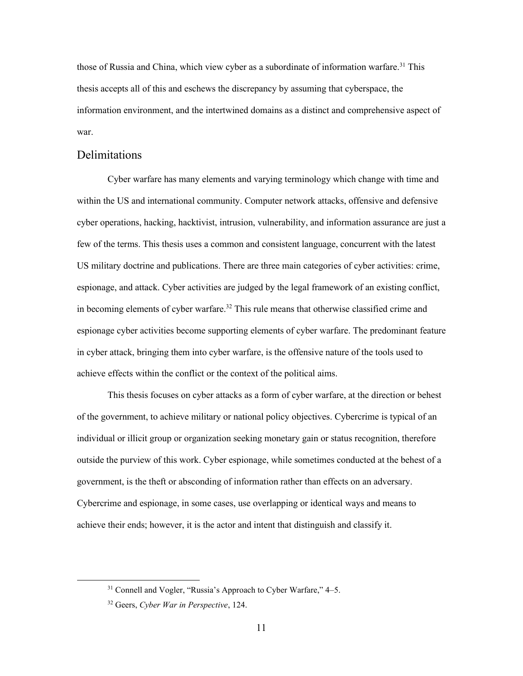those of Russia and China, which view cyber as a subordinate of information warfare.<sup>31</sup> This thesis accepts all of this and eschews the discrepancy by assuming that cyberspace, the information environment, and the intertwined domains as a distinct and comprehensive aspect of war.

# <span id="page-17-0"></span>Delimitations

Cyber warfare has many elements and varying terminology which change with time and within the US and international community. Computer network attacks, offensive and defensive cyber operations, hacking, hacktivist, intrusion, vulnerability, and information assurance are just a few of the terms. This thesis uses a common and consistent language, concurrent with the latest US military doctrine and publications. There are three main categories of cyber activities: crime, espionage, and attack. Cyber activities are judged by the legal framework of an existing conflict, in becoming elements of cyber warfare.<sup>32</sup> This rule means that otherwise classified crime and espionage cyber activities become supporting elements of cyber warfare. The predominant feature in cyber attack, bringing them into cyber warfare, is the offensive nature of the tools used to achieve effects within the conflict or the context of the political aims.

 This thesis focuses on cyber attacks as a form of cyber warfare, at the direction or behest government, is the theft or absconding of information rather than effects on an adversary. achieve their ends; however, it is the actor and intent that distinguish and classify it. of the government, to achieve military or national policy objectives. Cybercrime is typical of an individual or illicit group or organization seeking monetary gain or status recognition, therefore outside the purview of this work. Cyber espionage, while sometimes conducted at the behest of a Cybercrime and espionage, in some cases, use overlapping or identical ways and means to

 $31$  Connell and Vogler, "Russia's Approach to Cyber Warfare,"  $4-5$ .

 32 Geers, *Cyber War in Perspective*, 124.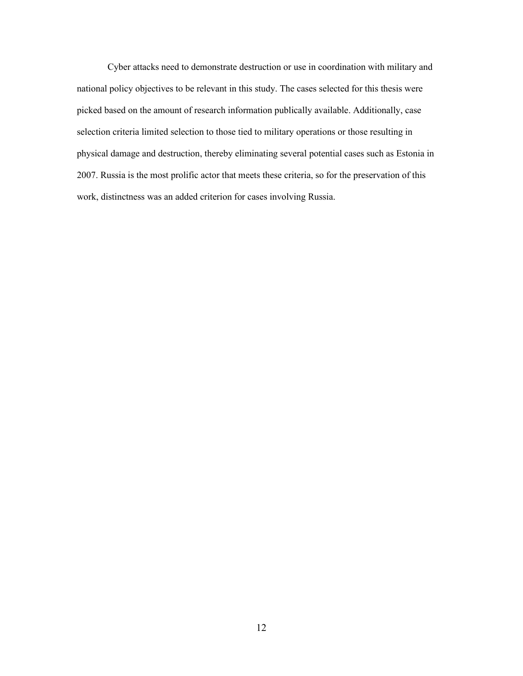2007. Russia is the most prolific actor that meets these criteria, so for the preservation of this Cyber attacks need to demonstrate destruction or use in coordination with military and national policy objectives to be relevant in this study. The cases selected for this thesis were picked based on the amount of research information publically available. Additionally, case selection criteria limited selection to those tied to military operations or those resulting in physical damage and destruction, thereby eliminating several potential cases such as Estonia in work, distinctness was an added criterion for cases involving Russia.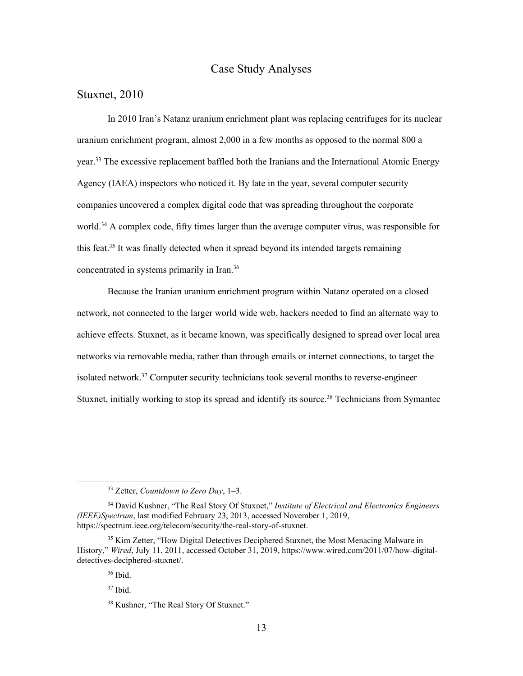# Case Study Analyses

# <span id="page-19-1"></span><span id="page-19-0"></span>Stuxnet, 2010

 In 2010 Iran's Natanz uranium enrichment plant was replacing centrifuges for its nuclear Agency (IAEA) inspectors who noticed it. By late in the year, several computer security uranium enrichment program, almost 2,000 in a few months as opposed to the normal 800 a year.<sup>33</sup> The excessive replacement baffled both the Iranians and the International Atomic Energy companies uncovered a complex digital code that was spreading throughout the corporate world.<sup>34</sup> A complex code, fifty times larger than the average computer virus, was responsible for this feat. 35 It was finally detected when it spread beyond its intended targets remaining concentrated in systems primarily in Iran. 36

Because the Iranian uranium enrichment program within Natanz operated on a closed network, not connected to the larger world wide web, hackers needed to find an alternate way to achieve effects. Stuxnet, as it became known, was specifically designed to spread over local area networks via removable media, rather than through emails or internet connections, to target the isolated network.<sup>37</sup> Computer security technicians took several months to reverse-engineer Stuxnet, initially working to stop its spread and identify its source.<sup>38</sup> Technicians from Symantec

 33 Zetter, *Countdown to Zero Day*, 1–3.

 34 David Kushner, "The Real Story Of Stuxnet," *Institute of Electrical and Electronics Engineers (IEEE)Spectrum*, last modified February 23, 2013, accessed November 1, 2019, <https://spectrum.ieee.org/telecom/security/the-real-story-of-stuxnet>.

<sup>&</sup>lt;sup>35</sup> Kim Zetter, "How Digital Detectives Deciphered Stuxnet, the Most Menacing Malware in History," *Wired*, July 11, 2011, accessed October 31, 2019,<https://www.wired.com/2011/07/how-digital>detectives-deciphered-stuxnet/.

<sup>36</sup> Ibid.

<sup>37</sup> Ibid.

<sup>&</sup>lt;sup>38</sup> Kushner, "The Real Story Of Stuxnet."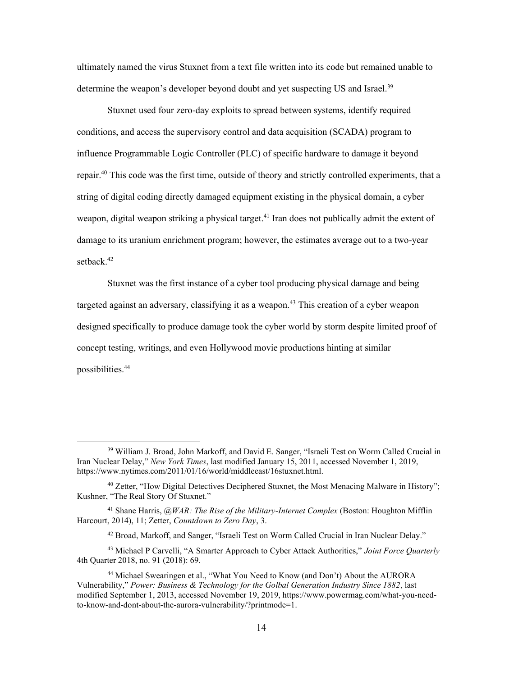ultimately named the virus Stuxnet from a text file written into its code but remained unable to determine the weapon's developer beyond doubt and yet suspecting US and Israel.<sup>39</sup>

Stuxnet used four zero-day exploits to spread between systems, identify required conditions, and access the supervisory control and data acquisition (SCADA) program to influence Programmable Logic Controller (PLC) of specific hardware to damage it beyond [repair.40](https://repair.40) This code was the first time, outside of theory and strictly controlled experiments, that a string of digital coding directly damaged equipment existing in the physical domain, a cyber weapon, digital weapon striking a physical [target.](https://target.41)<sup>41</sup> Iran does not publically admit the extent of damage to its uranium enrichment program; however, the estimates average out to a two-year setback.<sup>42</sup>

 Stuxnet was the first instance of a cyber tool producing physical damage and being concept testing, writings, and even Hollywood movie productions hinting at similar targeted against an adversary, classifying it as a weapon.<sup>43</sup> This creation of a cyber weapon designed specifically to produce damage took the cyber world by storm despite limited proof of [possibilities.44](https://possibilities.44)

<sup>&</sup>lt;sup>39</sup> William J. Broad, John Markoff, and David E. Sanger, "Israeli Test on Worm Called Crucial in Iran Nuclear Delay," *New York Times*, last modified January 15, 2011, accessed November 1, 2019, <https://www.nytimes.com/2011/01/16/world/middleeast/16stuxnet.html>.

 $40$  Zetter, "How Digital Detectives Deciphered Stuxnet, the Most Menacing Malware in History"; Kushner, "The Real Story Of Stuxnet."

 41 Shane Harris, *@WAR: The Rise of the Military-Internet Complex* (Boston: Houghton Mifflin Harcourt, 2014), 11; Zetter, *Countdown to Zero Day*, 3.

<sup>&</sup>lt;sup>42</sup> Broad, Markoff, and Sanger, "Israeli Test on Worm Called Crucial in Iran Nuclear Delay."

 43 Michael P Carvelli, "A Smarter Approach to Cyber Attack Authorities," *Joint Force Quarterly*  4th Quarter 2018, no. 91 (2018): 69.

<sup>&</sup>lt;sup>44</sup> Michael Swearingen et al., "What You Need to Know (and Don't) About the AURORA  Vulnerability," *Power: Business & Technology for the Golbal Generation Industry Since 1882*, last modified September 1, 2013, accessed November 19, 2019, <https://www.powermag.com/what-you-need>to-know-and-dont-about-the-aurora-vulnerability/?printmode=1.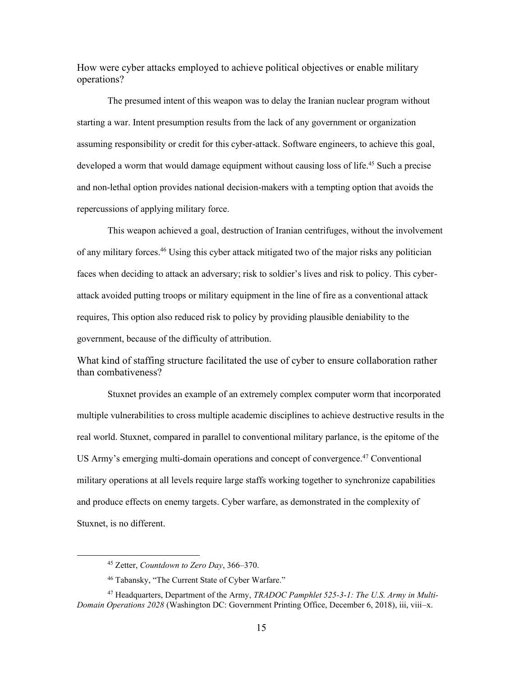How were cyber attacks employed to achieve political objectives or enable military operations?

 assuming responsibility or credit for this cyber-attack. Software engineers, to achieve this goal, The presumed intent of this weapon was to delay the Iranian nuclear program without starting a war. Intent presumption results from the lack of any government or organization developed a worm that would damage equipment without causing loss of life.<sup>45</sup> Such a precise and non-lethal option provides national decision-makers with a tempting option that avoids the repercussions of applying military force.

This weapon achieved a goal, destruction of Iranian centrifuges, without the involvement of any military [forces.46](https://forces.46) Using this cyber attack mitigated two of the major risks any politician faces when deciding to attack an adversary; risk to soldier's lives and risk to policy. This cyberattack avoided putting troops or military equipment in the line of fire as a conventional attack requires, This option also reduced risk to policy by providing plausible deniability to the government, because of the difficulty of attribution.

What kind of staffing structure facilitated the use of cyber to ensure collaboration rather than combativeness?

 multiple vulnerabilities to cross multiple academic disciplines to achieve destructive results in the Stuxnet provides an example of an extremely complex computer worm that incorporated real world. Stuxnet, compared in parallel to conventional military parlance, is the epitome of the US Army's emerging multi-domain operations and concept of convergence.<sup>47</sup> Conventional military operations at all levels require large staffs working together to synchronize capabilities and produce effects on enemy targets. Cyber warfare, as demonstrated in the complexity of Stuxnet, is no different.

 45 Zetter, *Countdown to Zero Day*, 366–370.

<sup>&</sup>lt;sup>46</sup> Tabansky, "The Current State of Cyber Warfare."

 47 Headquarters, Department of the Army, *TRADOC Pamphlet 525-3-1: The U.S. Army in Multi- Domain Operations 2028* (Washington DC: Government Printing Office, December 6, 2018), iii, viii–x.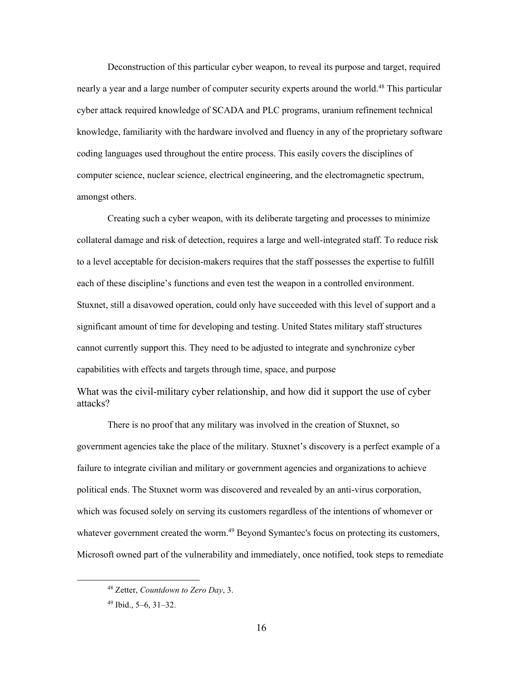nearly a year and a large number of computer security experts around the world.<sup>48</sup> This particular cyber attack required knowledge of SCADA and PLC programs, uranium refinement technical coding languages used throughout the entire process. This easily covers the disciplines of amongst others. Deconstruction of this particular cyber weapon, to reveal its purpose and target, required knowledge, familiarity with the hardware involved and fluency in any of the proprietary software computer science, nuclear science, electrical engineering, and the electromagnetic spectrum,

 Creating such a cyber weapon, with its deliberate targeting and processes to minimize to a level acceptable for decision-makers requires that the staff possesses the expertise to fulfill collateral damage and risk of detection, requires a large and well-integrated staff. To reduce risk each of these discipline's functions and even test the weapon in a controlled environment. Stuxnet, still a disavowed operation, could only have succeeded with this level of support and a significant amount of time for developing and testing. United States military staff structures cannot currently support this. They need to be adjusted to integrate and synchronize cyber capabilities with effects and targets through time, space, and purpose

What was the civil-military cyber relationship, and how did it support the use of cyber attacks?

 government agencies take the place of the military. Stuxnet's discovery is a perfect example of a which was focused solely on serving its customers regardless of the intentions of whomever or There is no proof that any military was involved in the creation of Stuxnet, so failure to integrate civilian and military or government agencies and organizations to achieve political ends. The Stuxnet worm was discovered and revealed by an anti-virus corporation, whatever government created the worm.<sup>49</sup> Beyond Symantec's focus on protecting its customers, Microsoft owned part of the vulnerability and immediately, once notified, took steps to remediate

 48 Zetter, *Countdown to Zero Day*, 3.

<sup>49</sup> Ibid., 5–6, 31–32.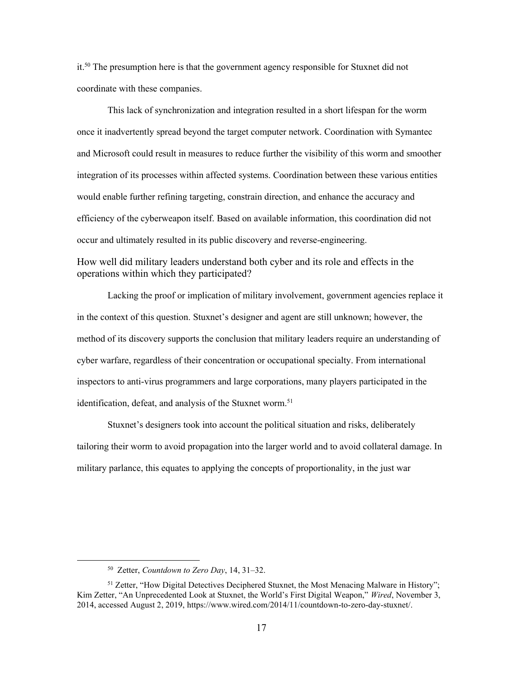it.<sup>50</sup> The presumption here is that the government agency responsible for Stuxnet did not coordinate with these companies.

 This lack of synchronization and integration resulted in a short lifespan for the worm once it inadvertently spread beyond the target computer network. Coordination with Symantec and Microsoft could result in measures to reduce further the visibility of this worm and smoother integration of its processes within affected systems. Coordination between these various entities would enable further refining targeting, constrain direction, and enhance the accuracy and efficiency of the cyberweapon itself. Based on available information, this coordination did not occur and ultimately resulted in its public discovery and reverse-engineering.

How well did military leaders understand both cyber and its role and effects in the operations within which they participated?

Lacking the proof or implication of military involvement, government agencies replace it in the context of this question. Stuxnet's designer and agent are still unknown; however, the method of its discovery supports the conclusion that military leaders require an understanding of cyber warfare, regardless of their concentration or occupational specialty. From international inspectors to anti-virus programmers and large corporations, many players participated in the identification, defeat, and analysis of the Stuxnet worm.<sup>51</sup>

Stuxnet's designers took into account the political situation and risks, deliberately tailoring their worm to avoid propagation into the larger world and to avoid collateral damage. In military parlance, this equates to applying the concepts of proportionality, in the just war

 50 Zetter, *Countdown to Zero Day*, 14, 31–32.

<sup>&</sup>lt;sup>51</sup> Zetter, "How Digital Detectives Deciphered Stuxnet, the Most Menacing Malware in History"; Kim Zetter, "An Unprecedented Look at Stuxnet, the World's First Digital Weapon," *Wired*, November 3, 2014, accessed August 2, 2019, [https://www.wired.com/2014/11/countdown-to-zero-day-stuxnet/](https://www.wired.com/2014/11/countdown-to-zero-day-stuxnet).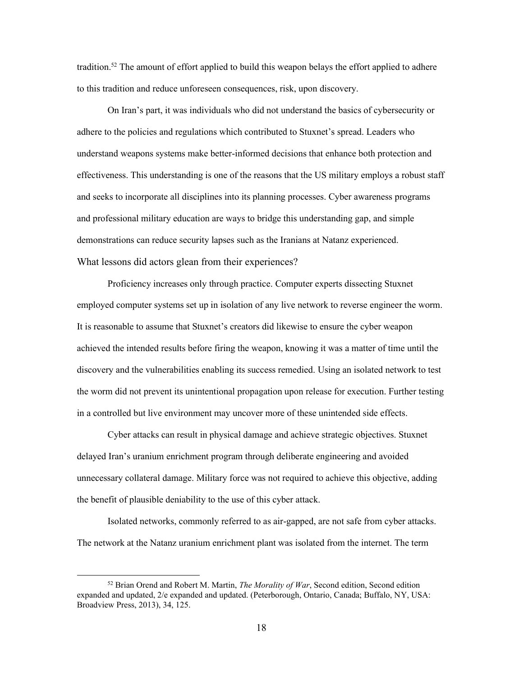tradition.<sup>52</sup> The amount of effort applied to build this weapon belays the effort applied to adhere to this tradition and reduce unforeseen consequences, risk, upon discovery.

On Iran's part, it was individuals who did not understand the basics of cybersecurity or adhere to the policies and regulations which contributed to Stuxnet's spread. Leaders who understand weapons systems make better-informed decisions that enhance both protection and effectiveness. This understanding is one of the reasons that the US military employs a robust staff and seeks to incorporate all disciplines into its planning processes. Cyber awareness programs and professional military education are ways to bridge this understanding gap, and simple demonstrations can reduce security lapses such as the Iranians at Natanz experienced. What lessons did actors glean from their experiences?

Proficiency increases only through practice. Computer experts dissecting Stuxnet employed computer systems set up in isolation of any live network to reverse engineer the worm. It is reasonable to assume that Stuxnet's creators did likewise to ensure the cyber weapon achieved the intended results before firing the weapon, knowing it was a matter of time until the discovery and the vulnerabilities enabling its success remedied. Using an isolated network to test the worm did not prevent its unintentional propagation upon release for execution. Further testing in a controlled but live environment may uncover more of these unintended side effects.

Cyber attacks can result in physical damage and achieve strategic objectives. Stuxnet delayed Iran's uranium enrichment program through deliberate engineering and avoided unnecessary collateral damage. Military force was not required to achieve this objective, adding the benefit of plausible deniability to the use of this cyber attack.

Isolated networks, commonly referred to as air-gapped, are not safe from cyber attacks. The network at the Natanz uranium enrichment plant was isolated from the internet. The term

 52 Brian Orend and Robert M. Martin, *The Morality of War*, Second edition, Second edition expanded and updated, 2/e expanded and updated. (Peterborough, Ontario, Canada; Buffalo, NY, USA: Broadview Press, 2013), 34, 125.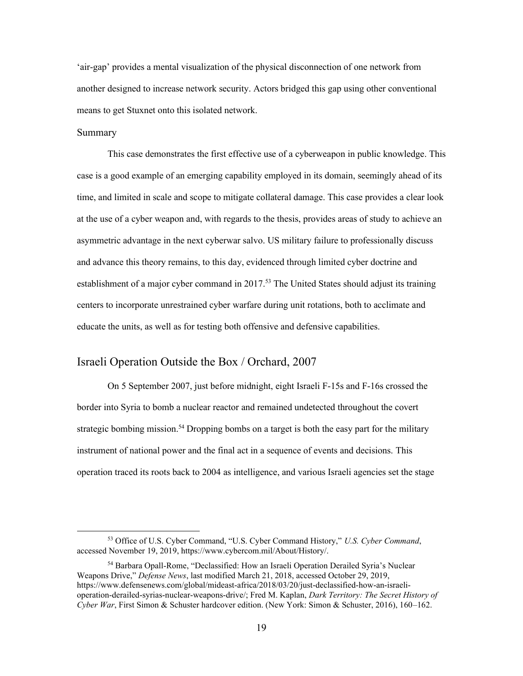'air-gap' provides a mental visualization of the physical disconnection of one network from another designed to increase network security. Actors bridged this gap using other conventional means to get Stuxnet onto this isolated network.

#### Summary

This case demonstrates the first effective use of a cyberweapon in public knowledge. This case is a good example of an emerging capability employed in its domain, seemingly ahead of its time, and limited in scale and scope to mitigate collateral damage. This case provides a clear look at the use of a cyber weapon and, with regards to the thesis, provides areas of study to achieve an asymmetric advantage in the next cyberwar salvo. US military failure to professionally discuss and advance this theory remains, to this day, evidenced through limited cyber doctrine and establishment of a major cyber command in 2017.<sup>53</sup> The United States should adjust its training centers to incorporate unrestrained cyber warfare during unit rotations, both to acclimate and educate the units, as well as for testing both offensive and defensive capabilities.

## <span id="page-25-0"></span>Israeli Operation Outside the Box / Orchard, 2007

 border into Syria to bomb a nuclear reactor and remained undetected throughout the covert operation traced its roots back to 2004 as intelligence, and various Israeli agencies set the stage On 5 September 2007, just before midnight, eight Israeli F-15s and F-16s crossed the strategic bombing mission.<sup>54</sup> Dropping bombs on a target is both the easy part for the military instrument of national power and the final act in a sequence of events and decisions. This

 53 Office of U.S. Cyber Command, "U.S. Cyber Command History," *U.S. Cyber Command*, accessed November 19, 2019, [https://www.cybercom.mil/About/History/](https://www.cybercom.mil/About/History).

 54 Barbara Opall-Rome, "Declassified: How an Israeli Operation Derailed Syria's Nuclear Weapons Drive," *Defense News*, last modified March 21, 2018, accessed October 29, 2019, operation-derailed-syrias-nuclear-weapons-drive/; Fred M. Kaplan, *Dark Territory: The Secret History of Cyber War*, First Simon & Schuster hardcover edition. (New York: Simon & Schuster, 2016), 160–162. [https://www.defensenews.com/global/mideast-africa/2018/03/20/just-declassified-how-an-israeli-](https://www.defensenews.com/global/mideast-africa/2018/03/20/just-declassified-how-an-israeli)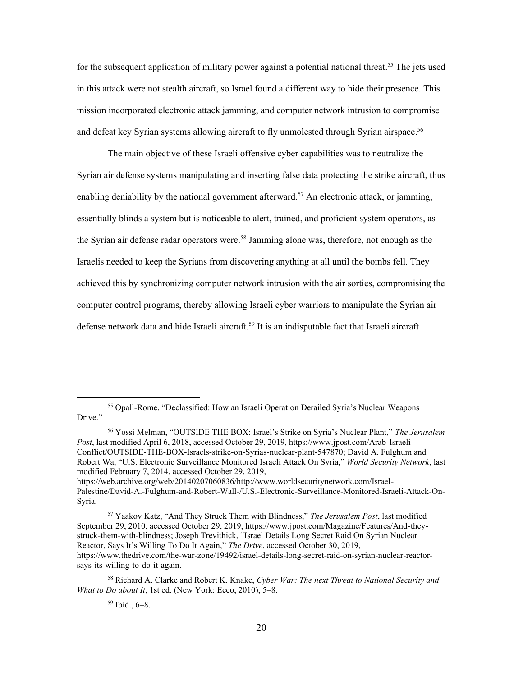for the subsequent application of military power against a potential national [threat.](https://threat.55)<sup>55</sup> The jets used in this attack were not stealth aircraft, so Israel found a different way to hide their presence. This mission incorporated electronic attack jamming, and computer network intrusion to compromise and defeat key Syrian systems allowing aircraft to fly unmolested through Syrian [airspace.](https://airspace.56) 56

 essentially blinds a system but is noticeable to alert, trained, and proficient system operators, as defense network data and hide Israeli aircraft.<sup>59</sup> It is an indisputable fact that Israeli aircraft The main objective of these Israeli offensive cyber capabilities was to neutralize the Syrian air defense systems manipulating and inserting false data protecting the strike aircraft, thus enabling deniability by the national government afterward.<sup>57</sup> An electronic attack, or jamming, the Syrian air defense radar operators were.<sup>58</sup> Jamming alone was, therefore, not enough as the Israelis needed to keep the Syrians from discovering anything at all until the bombs fell. They achieved this by synchronizing computer network intrusion with the air sorties, compromising the computer control programs, thereby allowing Israeli cyber warriors to manipulate the Syrian air

<https://web.archive.org/web/20140207060836/http://www.worldsecuritynetwork.com/Israel>-Palestine/David-A.-Fulghum-and-Robert-Wall-/U.S.-Electronic-Surveillance-Monitored-Israeli-Attack-On-Syria.

<sup>&</sup>lt;sup>55</sup> Opall-Rome, "Declassified: How an Israeli Operation Derailed Syria's Nuclear Weapons Drive."

 56 Yossi Melman, "OUTSIDE THE BOX: Israel's Strike on Syria's Nuclear Plant," *The Jerusalem Post*, last modified April 6, 2018, accessed October 29, 2019, [https://www.jpost.com/Arab-Israeli-](https://www.jpost.com/Arab-Israeli) Conflict/OUTSIDE-THE-BOX-Israels-strike-on-Syrias-nuclear-plant-547870; David A. Fulghum and Robert Wa, "U.S. Electronic Surveillance Monitored Israeli Attack On Syria," *World Security Network*, last modified February 7, 2014, accessed October 29, 2019,

 57 Yaakov Katz, "And They Struck Them with Blindness," *The Jerusalem Post*, last modified September 29, 2010, accessed October 29, 2019,<https://www.jpost.com/Magazine/Features/And-they>- struck-them-with-blindness; Joseph Trevithick, "Israel Details Long Secret Raid On Syrian Nuclear Reactor, Says It's Willing To Do It Again," *The Drive*, accessed October 30, 2019, <https://www.thedrive.com/the-war-zone/19492/israel-details-long-secret-raid-on-syrian-nuclear-reactor>says-its-willing-to-do-it-again.

 58 Richard A. Clarke and Robert K. Knake, *Cyber War: The next Threat to National Security and What to Do about It*, 1st ed. (New York: Ecco, 2010), 5–8.

<sup>59</sup> Ibid., 6–8.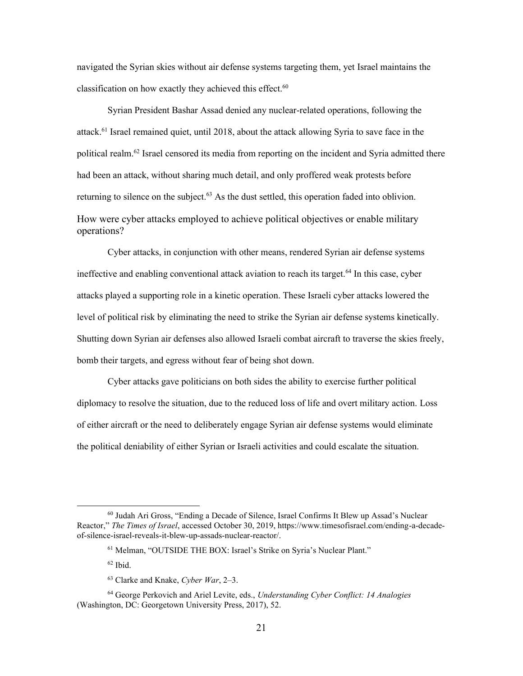navigated the Syrian skies without air defense systems targeting them, yet Israel maintains the classification on how exactly they achieved this effect.<sup>60</sup>

attack.<sup>61</sup> Israel remained quiet, until 2018, about the attack allowing Syria to save face in the Syrian President Bashar Assad denied any nuclear-related operations, following the political realm.<sup>62</sup> Israel censored its media from reporting on the incident and Syria admitted there had been an attack, without sharing much detail, and only proffered weak protests before returning to silence on the subject. $63$  As the dust settled, this operation faded into oblivion. How were cyber attacks employed to achieve political objectives or enable military operations?

Cyber attacks, in conjunction with other means, rendered Syrian air defense systems ineffective and enabling conventional attack aviation to reach its target.<sup>64</sup> In this case, cyber attacks played a supporting role in a kinetic operation. These Israeli cyber attacks lowered the level of political risk by eliminating the need to strike the Syrian air defense systems kinetically. Shutting down Syrian air defenses also allowed Israeli combat aircraft to traverse the skies freely, bomb their targets, and egress without fear of being shot down.

Cyber attacks gave politicians on both sides the ability to exercise further political diplomacy to resolve the situation, due to the reduced loss of life and overt military action. Loss of either aircraft or the need to deliberately engage Syrian air defense systems would eliminate the political deniability of either Syrian or Israeli activities and could escalate the situation.

 60 Judah Ari Gross, "Ending a Decade of Silence, Israel Confirms It Blew up Assad's Nuclear Reactor," *The Times of Israel*, accessed October 30, 2019,<https://www.timesofisrael.com/ending-a-decade>of-silence-israel-reveals-it-blew-up-assads-nuclear-reactor/.

 61 Melman, "OUTSIDE THE BOX: Israel's Strike on Syria's Nuclear Plant."

 $62$  Ibid.

 63 Clarke and Knake, *Cyber War*, 2–3.

 64 George Perkovich and Ariel Levite, eds., *Understanding Cyber Conflict: 14 Analogies*  (Washington, DC: Georgetown University Press, 2017), 52.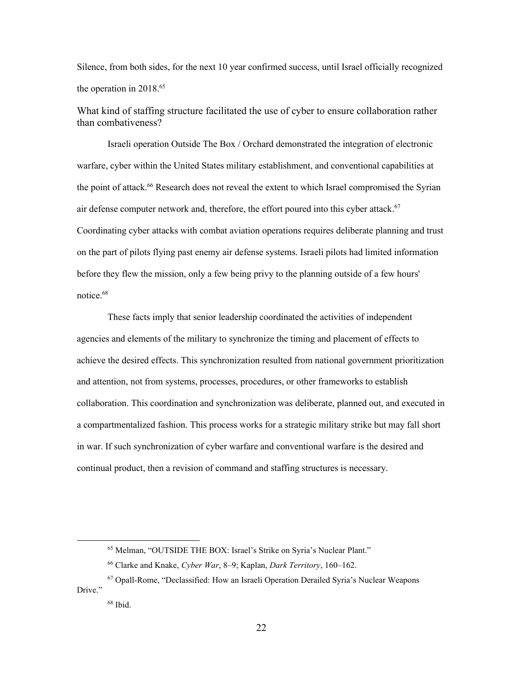Silence, from both sides, for the next 10 year confirmed success, until Israel officially recognized the operation in 2018.<sup>65</sup>

What kind of staffing structure facilitated the use of cyber to ensure collaboration rather than combativeness?

 warfare, cyber within the United States military establishment, and conventional capabilities at Israeli operation Outside The Box / Orchard demonstrated the integration of electronic the point of [attack.](https://attack.66)<sup>66</sup> Research does not reveal the extent to which Israel compromised the Syrian air defense computer network and, therefore, the effort poured into this cyber [attack.](https://attack.67) 67 Coordinating cyber attacks with combat aviation operations requires deliberate planning and trust on the part of pilots flying past enemy air defense systems. Israeli pilots had limited information before they flew the mission, only a few being privy to the planning outside of a few hours' [notice.68](https://notice.68) 

 These facts imply that senior leadership coordinated the activities of independent agencies and elements of the military to synchronize the timing and placement of effects to achieve the desired effects. This synchronization resulted from national government prioritization and attention, not from systems, processes, procedures, or other frameworks to establish collaboration. This coordination and synchronization was deliberate, planned out, and executed in a compartmentalized fashion. This process works for a strategic military strike but may fall short in war. If such synchronization of cyber warfare and conventional warfare is the desired and continual product, then a revision of command and staffing structures is necessary.

 65 Melman, "OUTSIDE THE BOX: Israel's Strike on Syria's Nuclear Plant."

 66 Clarke and Knake, *Cyber War*, 8–9; Kaplan, *Dark Territory*, 160–162.

<sup>&</sup>lt;sup>67</sup> Opall-Rome, "Declassified: How an Israeli Operation Derailed Syria's Nuclear Weapons Drive."

 $68$  Ibid.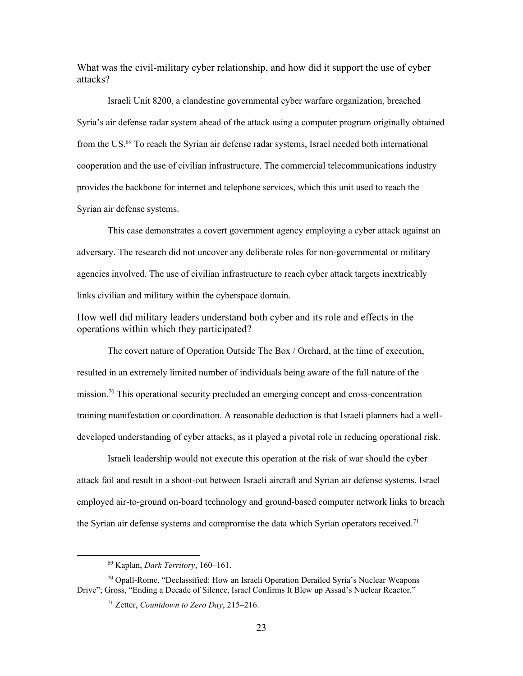What was the civil-military cyber relationship, and how did it support the use of cyber attacks?

Israeli Unit 8200, a clandestine governmental cyber warfare organization, breached Syria's air defense radar system ahead of the attack using a computer program originally obtained from the US. $^{69}$  To reach the Syrian air defense radar systems, Israel needed both international cooperation and the use of civilian infrastructure. The commercial telecommunications industry provides the backbone for internet and telephone services, which this unit used to reach the Syrian air defense systems.

This case demonstrates a covert government agency employing a cyber attack against an adversary. The research did not uncover any deliberate roles for non-governmental or military agencies involved. The use of civilian infrastructure to reach cyber attack targets inextricably links civilian and military within the cyberspace domain.

How well did military leaders understand both cyber and its role and effects in the operations within which they participated?

 resulted in an extremely limited number of individuals being aware of the full nature of the The covert nature of Operation Outside The Box / Orchard, at the time of execution, mission.<sup>70</sup> This operational security precluded an emerging concept and cross-concentration training manifestation or coordination. A reasonable deduction is that Israeli planners had a welldeveloped understanding of cyber attacks, as it played a pivotal role in reducing operational risk.

Israeli leadership would not execute this operation at the risk of war should the cyber attack fail and result in a shoot-out between Israeli aircraft and Syrian air defense systems. Israel employed air-to-ground on-board technology and ground-based computer network links to breach the Syrian air defense systems and compromise the data which Syrian operators received.<sup>71</sup>

<sup>69</sup> Kaplan, *Dark Territory*, 160–161.

<sup>&</sup>lt;sup>70</sup> Opall-Rome, "Declassified: How an Israeli Operation Derailed Syria's Nuclear Weapons Drive"; Gross, "Ending a Decade of Silence, Israel Confirms It Blew up Assad's Nuclear Reactor."

 71 Zetter, *Countdown to Zero Day*, 215–216.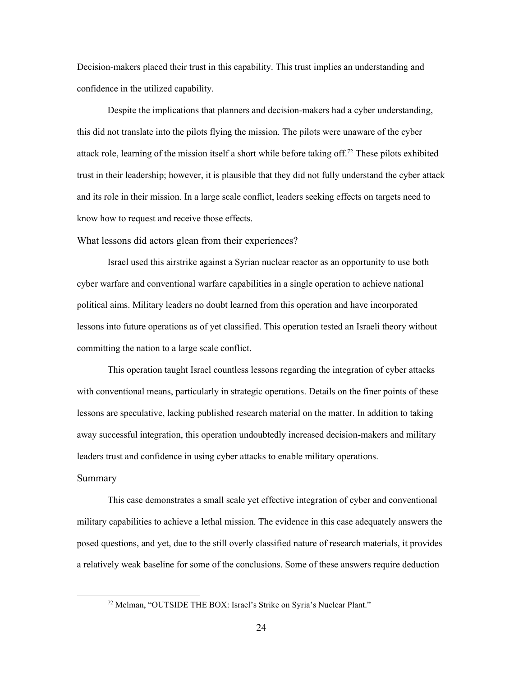Decision-makers placed their trust in this capability. This trust implies an understanding and confidence in the utilized capability.

 trust in their leadership; however, it is plausible that they did not fully understand the cyber attack Despite the implications that planners and decision-makers had a cyber understanding, this did not translate into the pilots flying the mission. The pilots were unaware of the cyber attack role, learning of the mission itself a short while before taking off.<sup>72</sup> These pilots exhibited and its role in their mission. In a large scale conflict, leaders seeking effects on targets need to know how to request and receive those effects.

What lessons did actors glean from their experiences?

Israel used this airstrike against a Syrian nuclear reactor as an opportunity to use both cyber warfare and conventional warfare capabilities in a single operation to achieve national political aims. Military leaders no doubt learned from this operation and have incorporated lessons into future operations as of yet classified. This operation tested an Israeli theory without committing the nation to a large scale conflict.

This operation taught Israel countless lessons regarding the integration of cyber attacks with conventional means, particularly in strategic operations. Details on the finer points of these lessons are speculative, lacking published research material on the matter. In addition to taking away successful integration, this operation undoubtedly increased decision-makers and military leaders trust and confidence in using cyber attacks to enable military operations.

## Summary

This case demonstrates a small scale yet effective integration of cyber and conventional military capabilities to achieve a lethal mission. The evidence in this case adequately answers the posed questions, and yet, due to the still overly classified nature of research materials, it provides a relatively weak baseline for some of the conclusions. Some of these answers require deduction

 72 Melman, "OUTSIDE THE BOX: Israel's Strike on Syria's Nuclear Plant."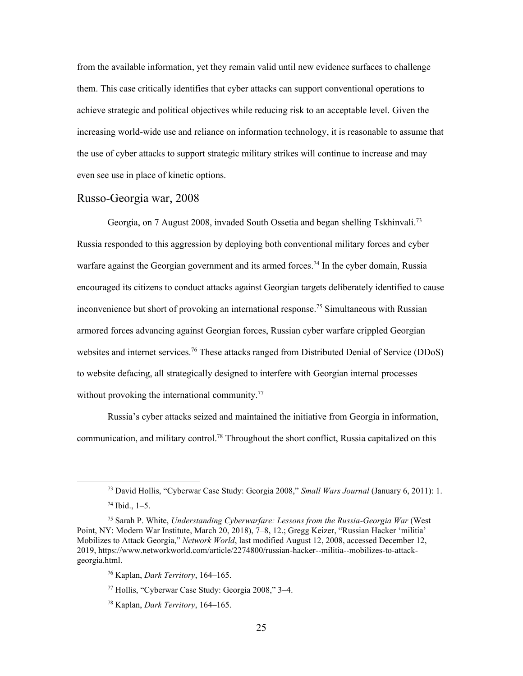them. This case critically identifies that cyber attacks can support conventional operations to from the available information, yet they remain valid until new evidence surfaces to challenge achieve strategic and political objectives while reducing risk to an acceptable level. Given the increasing world-wide use and reliance on information technology, it is reasonable to assume that the use of cyber attacks to support strategic military strikes will continue to increase and may even see use in place of kinetic options.

#### <span id="page-31-0"></span>Russo-Georgia war, 2008

inconvenience but short of provoking an international response.<sup>75</sup> Simultaneous with Russian websites and internet services.<sup>76</sup> These attacks ranged from Distributed Denial of Service (DDoS) Georgia, on 7 August 2008, invaded South Ossetia and began shelling [Tskhinvali.](https://Tskhinvali.73)<sup>73</sup> Russia responded to this aggression by deploying both conventional military forces and cyber warfare against the Georgian government and its armed [forces.](https://forces.74)<sup>74</sup> In the cyber domain, Russia encouraged its citizens to conduct attacks against Georgian targets deliberately identified to cause armored forces advancing against Georgian forces, Russian cyber warfare crippled Georgian to website defacing, all strategically designed to interfere with Georgian internal processes without provoking the international community.<sup>77</sup>

Russia's cyber attacks seized and maintained the initiative from Georgia in information, communication, and military control.<sup>78</sup> Throughout the short conflict, Russia capitalized on this

 73 David Hollis, "Cyberwar Case Study: Georgia 2008," *Small Wars Journal* (January 6, 2011): 1.

 $74$  Ibid.,  $1-5$ .

 75 Sarah P. White, *Understanding Cyberwarfare: Lessons from the Russia-Georgia War* (West Point, NY: Modern War Institute, March 20, 2018), 7–8, 12.; Gregg Keizer, "Russian Hacker 'militia' Mobilizes to Attack Georgia," *Network World*, last modified August 12, 2008, accessed December 12, 2019,<https://www.networkworld.com/article/2274800/russian-hacker--militia--mobilizes-to-attack>georgia.html.

<sup>76</sup> Kaplan, *Dark Territory*, 164–165.

 77 Hollis, "Cyberwar Case Study: Georgia 2008," 3–4.

<sup>78</sup> Kaplan, *Dark Territory*, 164–165.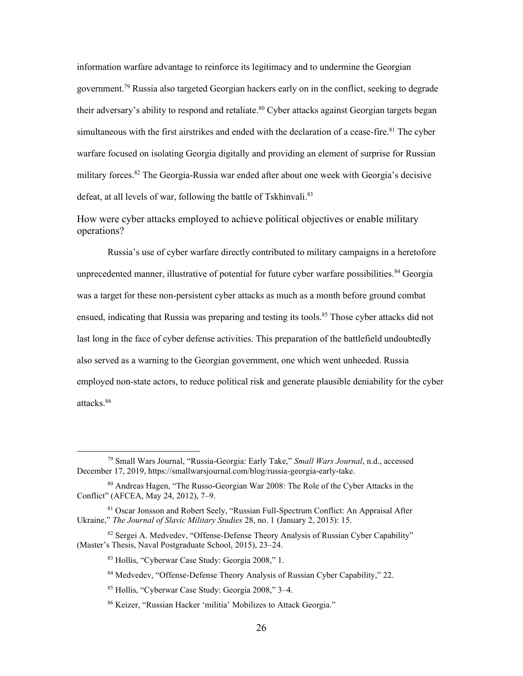information warfare advantage to reinforce its legitimacy and to undermine the Georgian [government.79](https://government.79) Russia also targeted Georgian hackers early on in the conflict, seeking to degrade their adversary's ability to respond and retaliate.<sup>80</sup> Cyber attacks against Georgian targets began simultaneous with the first airstrikes and ended with the declaration of a cease-fire.<sup>81</sup> The cyber warfare focused on isolating Georgia digitally and providing an element of surprise for Russian military forces.<sup>82</sup> The Georgia-Russia war ended after about one week with Georgia's decisive defeat, at all levels of war, following the battle of [Tskhinvali.](https://Tskhinvali.83)<sup>83</sup>

How were cyber attacks employed to achieve political objectives or enable military operations?

unprecedented manner, illustrative of potential for future cyber warfare possibilities.<sup>84</sup> Georgia was a target for these non-persistent cyber attacks as much as a month before ground combat employed non-state actors, to reduce political risk and generate plausible deniability for the cyber Russia's use of cyber warfare directly contributed to military campaigns in a heretofore ensued, indicating that Russia was preparing and testing its tools.<sup>85</sup> Those cyber attacks did not last long in the face of cyber defense activities. This preparation of the battlefield undoubtedly also served as a warning to the Georgian government, one which went unheeded. Russia [attacks.86](https://attacks.86)

86 Keizer, "Russian Hacker 'militia' Mobilizes to Attack Georgia."

 79 Small Wars Journal, "Russia-Georgia: Early Take," *Small Wars Journal*, n.d., accessed December 17, 2019, <https://smallwarsjournal.com/blog/russia-georgia-early-take>.

 80 Andreas Hagen, "The Russo-Georgian War 2008: The Role of the Cyber Attacks in the Conflict" (AFCEA, May 24, 2012), 7–9.

<sup>&</sup>lt;sup>81</sup> Oscar Jonsson and Robert Seely, "Russian Full-Spectrum Conflict: An Appraisal After Ukraine," *The Journal of Slavic Military Studies* 28, no. 1 (January 2, 2015): 15.

<sup>&</sup>lt;sup>82</sup> Sergei A. Medvedev, "Offense-Defense Theory Analysis of Russian Cyber Capability" (Master's Thesis, Naval Postgraduate School, 2015), 23–24.

<sup>83</sup> Hollis, "Cyberwar Case Study: Georgia 2008," 1.

<sup>84</sup> Medvedev, "Offense-Defense Theory Analysis of Russian Cyber Capability," 22.

 85 Hollis, "Cyberwar Case Study: Georgia 2008," 3–4.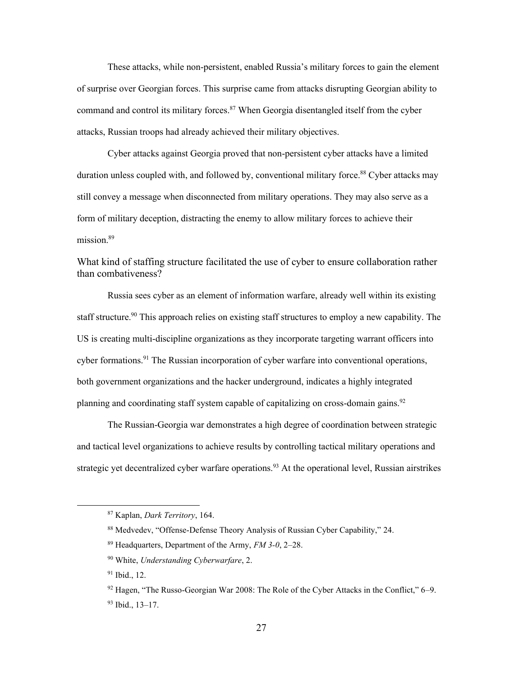These attacks, while non-persistent, enabled Russia's military forces to gain the element of surprise over Georgian forces. This surprise came from attacks disrupting Georgian ability to command and control its military forces.<sup>87</sup> When Georgia disentangled itself from the cyber attacks, Russian troops had already achieved their military objectives.

Cyber attacks against Georgia proved that non-persistent cyber attacks have a limited duration unless coupled with, and followed by, conventional military force.<sup>88</sup> Cyber attacks may still convey a message when disconnected from military operations. They may also serve as a form of military deception, distracting the enemy to allow military forces to achieve their mission.<sup>89</sup>

What kind of staffing structure facilitated the use of cyber to ensure collaboration rather than combativeness?

planning and coordinating staff system capable of capitalizing on cross-domain gains.<sup>92</sup> Russia sees cyber as an element of information warfare, already well within its existing staff structure.<sup>90</sup> This approach relies on existing staff structures to employ a new capability. The US is creating multi-discipline organizations as they incorporate targeting warrant officers into cyber formations.<sup>91</sup> The Russian incorporation of cyber warfare into conventional operations, both government organizations and the hacker underground, indicates a highly integrated

The Russian-Georgia war demonstrates a high degree of coordination between strategic and tactical level organizations to achieve results by controlling tactical military operations and strategic yet decentralized cyber warfare operations.<sup>93</sup> At the operational level, Russian airstrikes

<sup>87</sup> Kaplan, *Dark Territory*, 164.

 88 Medvedev, "Offense-Defense Theory Analysis of Russian Cyber Capability," 24.

 89 Headquarters, Department of the Army, *FM 3-0*, 2–28.

<sup>90</sup> White, *Understanding Cyberwarfare*, 2.

<sup>&</sup>lt;sup>91</sup> Ibid., 12.

 $92$  Hagen, "The Russo-Georgian War 2008: The Role of the Cyber Attacks in the Conflict,"  $6-9$ . 93 Ibid., 13–17.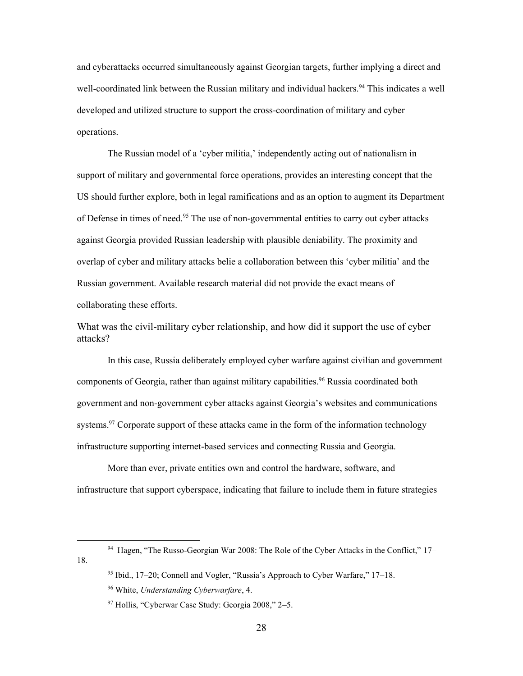and cyberattacks occurred simultaneously against Georgian targets, further implying a direct and well-coordinated link between the Russian military and individual hackers.<sup>94</sup> This indicates a well developed and utilized structure to support the cross-coordination of military and cyber operations.

 The Russian model of a 'cyber militia,' independently acting out of nationalism in support of military and governmental force operations, provides an interesting concept that the US should further explore, both in legal ramifications and as an option to augment its Department of Defense in times of need.<sup>95</sup> The use of non-governmental entities to carry out cyber attacks against Georgia provided Russian leadership with plausible deniability. The proximity and overlap of cyber and military attacks belie a collaboration between this 'cyber militia' and the Russian government. Available research material did not provide the exact means of collaborating these efforts.

What was the civil-military cyber relationship, and how did it support the use of cyber attacks?

In this case, Russia deliberately employed cyber warfare against civilian and government components of Georgia, rather than against military capabilities.<sup>96</sup> Russia coordinated both government and non-government cyber attacks against Georgia's websites and communications systems.<sup>97</sup> Corporate support of these attacks came in the form of the information technology infrastructure supporting internet-based services and connecting Russia and Georgia.

More than ever, private entities own and control the hardware, software, and infrastructure that support cyberspace, indicating that failure to include them in future strategies

<sup>&</sup>lt;sup>94</sup> Hagen, "The Russo-Georgian War 2008: The Role of the Cyber Attacks in the Conflict," 17-18.

 95 Ibid., 17–20; Connell and Vogler, "Russia's Approach to Cyber Warfare," 17–18.

<sup>96</sup> White, *Understanding Cyberwarfare*, 4.

 97 Hollis, "Cyberwar Case Study: Georgia 2008," 2–5.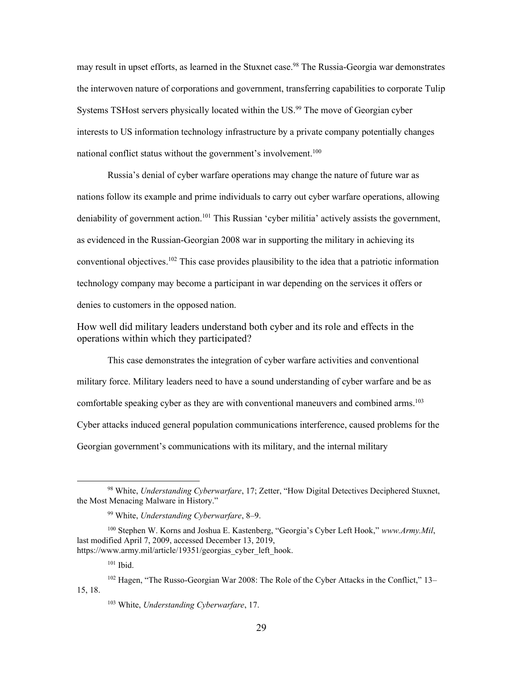may result in upset efforts, as learned in the Stuxnet case.<sup>98</sup> The Russia-Georgia war demonstrates the interwoven nature of corporations and government, transferring capabilities to corporate Tulip Systems TSHost servers physically located within the US.<sup>99</sup> The move of Georgian cyber interests to US information technology infrastructure by a private company potentially changes national conflict status without the government's involvement.100

 Russia's denial of cyber warfare operations may change the nature of future war as deniability of government action.<sup>101</sup> This Russian 'cyber militia' actively assists the government, technology company may become a participant in war depending on the services it offers or nations follow its example and prime individuals to carry out cyber warfare operations, allowing as evidenced in the Russian-Georgian 2008 war in supporting the military in achieving its conventional objectives. 102 This case provides plausibility to the idea that a patriotic information denies to customers in the opposed nation.

How well did military leaders understand both cyber and its role and effects in the operations within which they participated?

 Cyber attacks induced general population communications interference, caused problems for the This case demonstrates the integration of cyber warfare activities and conventional military force. Military leaders need to have a sound understanding of cyber warfare and be as comfortable speaking cyber as they are with conventional maneuvers and combined arms. 103 Georgian government's communications with its military, and the internal military

 98 White, *Understanding Cyberwarfare*, 17; Zetter, "How Digital Detectives Deciphered Stuxnet, the Most Menacing Malware in History."

<sup>99</sup> White, *Understanding Cyberwarfare*, 8–9.

 100 Stephen W. Korns and Joshua E. Kastenberg, "Georgia's Cyber Left Hook," *<www.Army.Mil>*, last modified April 7, 2009, accessed December 13, 2019, https://www.army.mil/article/19351/georgias cyber left hook.

 $101$  Ibid.

<sup>&</sup>lt;sup>102</sup> Hagen, "The Russo-Georgian War 2008: The Role of the Cyber Attacks in the Conflict," 13-15, 18.

<sup>103</sup> White, *Understanding Cyberwarfare*, 17.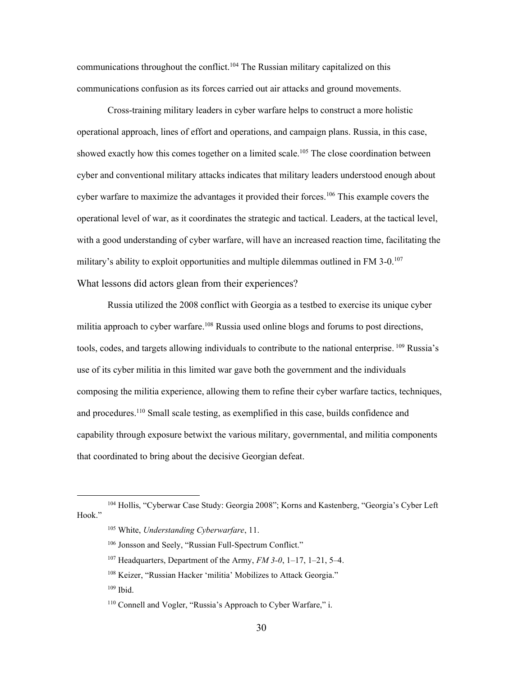communications throughout the conflict.<sup>104</sup> The Russian military capitalized on this communications confusion as its forces carried out air attacks and ground movements.

military's ability to exploit opportunities and multiple dilemmas outlined in FM 3-0.<sup>107</sup> Cross-training military leaders in cyber warfare helps to construct a more holistic operational approach, lines of effort and operations, and campaign plans. Russia, in this case, showed exactly how this comes together on a limited scale.<sup>105</sup> The close coordination between cyber and conventional military attacks indicates that military leaders understood enough about cyber warfare to maximize the advantages it provided their forces.<sup>106</sup> This example covers the operational level of war, as it coordinates the strategic and tactical. Leaders, at the tactical level, with a good understanding of cyber warfare, will have an increased reaction time, facilitating the What lessons did actors glean from their experiences?

Russia utilized the 2008 conflict with Georgia as a testbed to exercise its unique cyber militia approach to cyber warfare.<sup>108</sup> Russia used online blogs and forums to post directions, tools, codes, and targets allowing individuals to contribute to the national enterprise. <sup>109</sup> Russia's use of its cyber militia in this limited war gave both the government and the individuals composing the militia experience, allowing them to refine their cyber warfare tactics, techniques, and procedures. 110 Small scale testing, as exemplified in this case, builds confidence and capability through exposure betwixt the various military, governmental, and militia components that coordinated to bring about the decisive Georgian defeat.

 104 Hollis, "Cyberwar Case Study: Georgia 2008"; Korns and Kastenberg, "Georgia's Cyber Left Hook."

<sup>105</sup> White, *Understanding Cyberwarfare*, 11.

<sup>106</sup> Jonsson and Seely, "Russian Full-Spectrum Conflict."

 107 Headquarters, Department of the Army, *FM 3-0*, 1–17, 1–21, 5–4.

<sup>&</sup>lt;sup>108</sup> Keizer, "Russian Hacker 'militia' Mobilizes to Attack Georgia."

<sup>109</sup> Ibid.

 110 Connell and Vogler, "Russia's Approach to Cyber Warfare," i.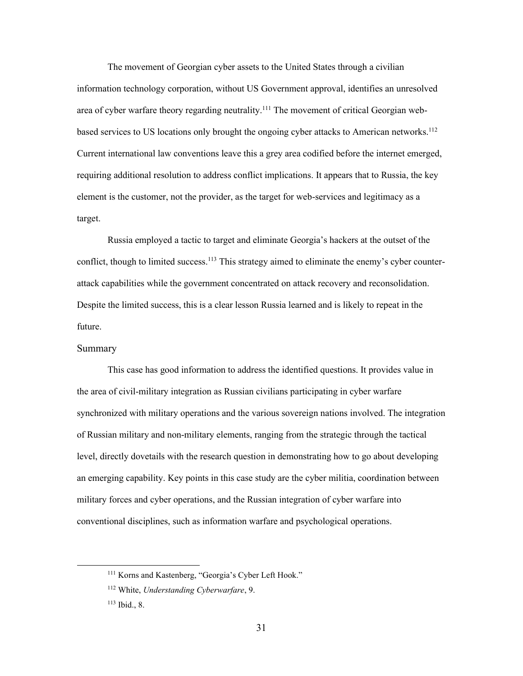area of cyber warfare theory regarding neutrality.<sup>111</sup> The movement of critical Georgian web- element is the customer, not the provider, as the target for web-services and legitimacy as a The movement of Georgian cyber assets to the United States through a civilian information technology corporation, without US Government approval, identifies an unresolved based services to US locations only brought the ongoing cyber attacks to American networks.<sup>112</sup> Current international law conventions leave this a grey area codified before the internet emerged, requiring additional resolution to address conflict implications. It appears that to Russia, the key target.

Russia employed a tactic to target and eliminate Georgia's hackers at the outset of the conflict, though to limited success.<sup>113</sup> This strategy aimed to eliminate the enemy's cyber counterattack capabilities while the government concentrated on attack recovery and reconsolidation. Despite the limited success, this is a clear lesson Russia learned and is likely to repeat in the future.

#### Summary

This case has good information to address the identified questions. It provides value in the area of civil-military integration as Russian civilians participating in cyber warfare synchronized with military operations and the various sovereign nations involved. The integration of Russian military and non-military elements, ranging from the strategic through the tactical level, directly dovetails with the research question in demonstrating how to go about developing an emerging capability. Key points in this case study are the cyber militia, coordination between military forces and cyber operations, and the Russian integration of cyber warfare into conventional disciplines, such as information warfare and psychological operations.

<sup>&</sup>lt;sup>111</sup> Korns and Kastenberg, "Georgia's Cyber Left Hook."

<sup>112</sup> White, *Understanding Cyberwarfare*, 9.

<sup>113</sup> Ibid., 8.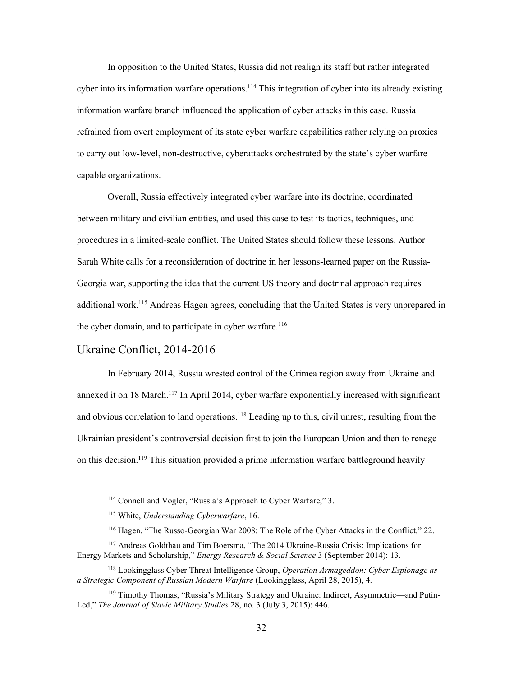In opposition to the United States, Russia did not realign its staff but rather integrated cyber into its information warfare operations.<sup>114</sup> This integration of cyber into its already existing information warfare branch influenced the application of cyber attacks in this case. Russia refrained from overt employment of its state cyber warfare capabilities rather relying on proxies to carry out low-level, non-destructive, cyberattacks orchestrated by the state's cyber warfare capable organizations.

Overall, Russia effectively integrated cyber warfare into its doctrine, coordinated between military and civilian entities, and used this case to test its tactics, techniques, and procedures in a limited-scale conflict. The United States should follow these lessons. Author Sarah White calls for a reconsideration of doctrine in her lessons-learned paper on the Russia-Georgia war, supporting the idea that the current US theory and doctrinal approach requires additional work.115 Andreas Hagen agrees, concluding that the United States is very unprepared in the cyber domain, and to participate in cyber warfare.<sup>116</sup>

# <span id="page-38-0"></span>Ukraine Conflict, 2014-2016

In February 2014, Russia wrested control of the Crimea region away from Ukraine and annexed it on 18 March.<sup>117</sup> In April 2014, cyber warfare exponentially increased with significant and obvious correlation to land operations.<sup>118</sup> Leading up to this, civil unrest, resulting from the Ukrainian president's controversial decision first to join the European Union and then to renege on this decision.<sup>119</sup> This situation provided a prime information warfare battleground heavily

 114 Connell and Vogler, "Russia's Approach to Cyber Warfare," 3.

<sup>115</sup> White, *Understanding Cyberwarfare*, 16.

<sup>&</sup>lt;sup>116</sup> Hagen, "The Russo-Georgian War 2008: The Role of the Cyber Attacks in the Conflict," 22.

<sup>&</sup>lt;sup>117</sup> Andreas Goldthau and Tim Boersma, "The 2014 Ukraine-Russia Crisis: Implications for Energy Markets and Scholarship," *Energy Research & Social Science* 3 (September 2014): 13.

 118 Lookingglass Cyber Threat Intelligence Group, *Operation Armageddon: Cyber Espionage as a Strategic Component of Russian Modern Warfare* (Lookingglass, April 28, 2015), 4.

<sup>&</sup>lt;sup>119</sup> Timothy Thomas, "Russia's Military Strategy and Ukraine: Indirect, Asymmetric—and Putin-Led," *The Journal of Slavic Military Studies* 28, no. 3 (July 3, 2015): 446.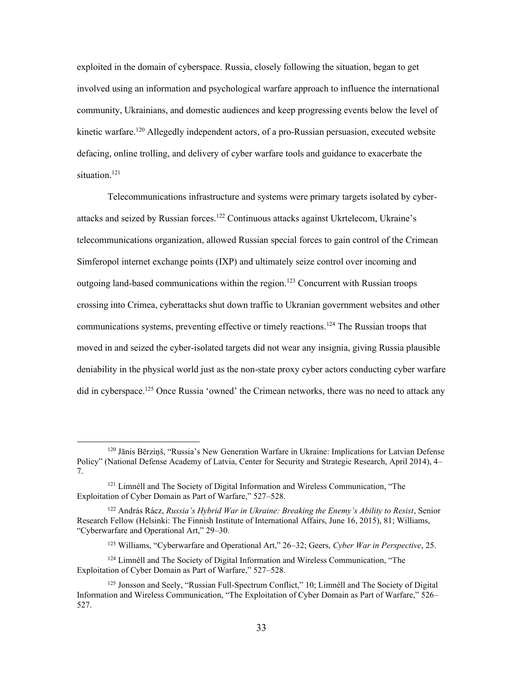exploited in the domain of cyberspace. Russia, closely following the situation, began to get involved using an information and psychological warfare approach to influence the international community, Ukrainians, and domestic audiences and keep progressing events below the level of kinetic warfare.<sup>120</sup> Allegedly independent actors, of a pro-Russian persuasion, executed website defacing, online trolling, and delivery of cyber warfare tools and guidance to exacerbate the situation.<sup>121</sup>

 Simferopol internet exchange points (IXP) and ultimately seize control over incoming and Telecommunications infrastructure and systems were primary targets isolated by cyberattacks and seized by Russian forces.122 Continuous attacks against Ukrtelecom, Ukraine's telecommunications organization, allowed Russian special forces to gain control of the Crimean outgoing land-based communications within the region.<sup>123</sup> Concurrent with Russian troops crossing into Crimea, cyberattacks shut down traffic to Ukranian government websites and other communications systems, preventing effective or timely reactions.<sup>124</sup> The Russian troops that moved in and seized the cyber-isolated targets did not wear any insignia, giving Russia plausible deniability in the physical world just as the non-state proxy cyber actors conducting cyber warfare did in cyberspace.<sup>125</sup> Once Russia 'owned' the Crimean networks, there was no need to attack any

<sup>&</sup>lt;sup>120</sup> Jānis Bērziņš, "Russia's New Generation Warfare in Ukraine: Implications for Latvian Defense Policy" (National Defense Academy of Latvia, Center for Security and Strategic Research, April 2014), 4– 7.

<sup>&</sup>lt;sup>121</sup> Limnéll and The Society of Digital Information and Wireless Communication, "The Exploitation of Cyber Domain as Part of Warfare," 527–528.

 122 András Rácz, *Russia's Hybrid War in Ukraine: Breaking the Enemy's Ability to Resist*, Senior Research Fellow (Helsinki: The Finnish Institute of International Affairs, June 16, 2015), 81; Williams, "Cyberwarfare and Operational Art," 29–30.

 123 Williams, "Cyberwarfare and Operational Art," 26–32; Geers, *Cyber War in Perspective*, 25.

<sup>&</sup>lt;sup>124</sup> Limnéll and The Society of Digital Information and Wireless Communication, "The Exploitation of Cyber Domain as Part of Warfare," 527–528.

<sup>&</sup>lt;sup>125</sup> Jonsson and Seely, "Russian Full-Spectrum Conflict," 10; Limnéll and The Society of Digital Information and Wireless Communication, "The Exploitation of Cyber Domain as Part of Warfare," 526– 527.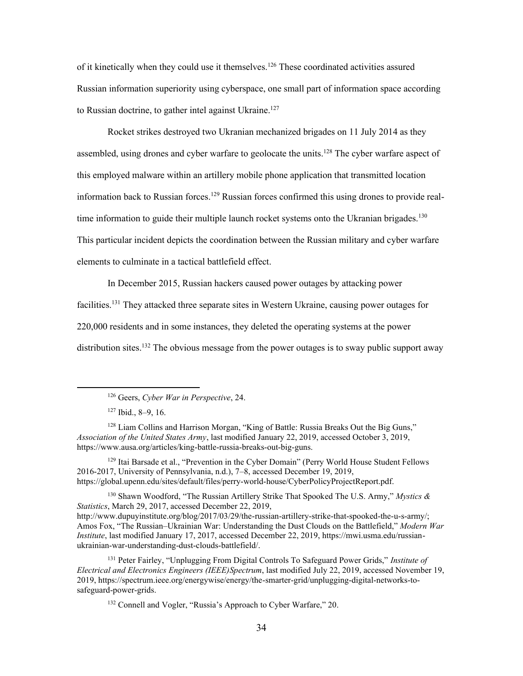of it kinetically when they could use it themselves.<sup>126</sup> These coordinated activities assured Russian information superiority using cyberspace, one small part of information space according to Russian doctrine, to gather intel against Ukraine.<sup>127</sup>

Rocket strikes destroyed two Ukranian mechanized brigades on 11 July 2014 as they assembled, using drones and cyber warfare to geolocate the units.<sup>128</sup> The cyber warfare aspect of this employed malware within an artillery mobile phone application that transmitted location information back to Russian forces.<sup>129</sup> Russian forces confirmed this using drones to provide realtime information to guide their multiple launch rocket systems onto the Ukranian brigades.<sup>130</sup> This particular incident depicts the coordination between the Russian military and cyber warfare elements to culminate in a tactical battlefield effect.

In December 2015, Russian hackers caused power outages by attacking power

facilities.<sup>131</sup> They attacked three separate sites in Western Ukraine, causing power outages for

220,000 residents and in some instances, they deleted the operating systems at the power

distribution sites.<sup>132</sup> The obvious message from the power outages is to sway public support away

 126 Geers, *Cyber War in Perspective*, 24.

<sup>127</sup> Ibid., 8–9, 16.

<sup>&</sup>lt;sup>128</sup> Liam Collins and Harrison Morgan, "King of Battle: Russia Breaks Out the Big Guns," *Association of the United States Army*, last modified January 22, 2019, accessed October 3, 2019, [https://www.ausa.org/articles/king-battle-russia-breaks-out-big-guns.](https://www.ausa.org/articles/king-battle-russia-breaks-out-big-guns)

<sup>&</sup>lt;sup>129</sup> Itai Barsade et al., "Prevention in the Cyber Domain" (Perry World House Student Fellows 2016-2017, University of Pennsylvania, n.d.), 7–8, accessed December 19, 2019, <https://global.upenn.edu/sites/default/files/perry-world-house/CyberPolicyProjectReport.pdf>.

 130 Shawn Woodford, "The Russian Artillery Strike That Spooked The U.S. Army," *Mystics & Statistics*, March 29, 2017, accessed December 22, 2019, Amos Fox, "The Russian–Ukrainian War: Understanding the Dust Clouds on the Battlefield," *Modern War Institute*, last modified January 17, 2017, accessed December 22, 2019,<https://mwi.usma.edu/russian><http://www.dupuyinstitute.org/blog/2017/03/29/the-russian-artillery-strike-that-spooked-the-u-s-army>/; ukrainian-war-understanding-dust-clouds-battlefield/.

 131 Peter Fairley, "Unplugging From Digital Controls To Safeguard Power Grids," *Institute of Electrical and Electronics Engineers (IEEE)Spectrum*, last modified July 22, 2019, accessed November 19, 2019,<https://spectrum.ieee.org/energywise/energy/the-smarter-grid/unplugging-digital-networks-to>safeguard-power-grids.

<sup>&</sup>lt;sup>132</sup> Connell and Vogler, "Russia's Approach to Cyber Warfare," 20.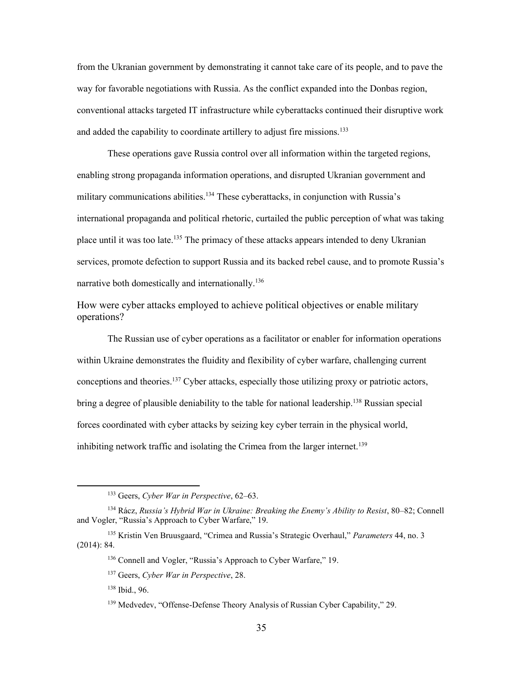from the Ukranian government by demonstrating it cannot take care of its people, and to pave the way for favorable negotiations with Russia. As the conflict expanded into the Donbas region, conventional attacks targeted IT infrastructure while cyberattacks continued their disruptive work and added the capability to coordinate artillery to adjust fire missions.<sup>133</sup>

 international propaganda and political rhetoric, curtailed the public perception of what was taking These operations gave Russia control over all information within the targeted regions, enabling strong propaganda information operations, and disrupted Ukranian government and military communications abilities.<sup>134</sup> These cyberattacks, in conjunction with Russia's place until it was too late.<sup>135</sup> The primacy of these attacks appears intended to deny Ukranian services, promote defection to support Russia and its backed rebel cause, and to promote Russia's narrative both domestically and internationally.<sup>136</sup>

How were cyber attacks employed to achieve political objectives or enable military operations?

 The Russian use of cyber operations as a facilitator or enabler for information operations within Ukraine demonstrates the fluidity and flexibility of cyber warfare, challenging current conceptions and theories.137 Cyber attacks, especially those utilizing proxy or patriotic actors, bring a degree of plausible deniability to the table for national leadership.<sup>138</sup> Russian special forces coordinated with cyber attacks by seizing key cyber terrain in the physical world, inhibiting network traffic and isolating the Crimea from the larger internet.<sup>139</sup>

138 Ibid., 96.

 133 Geers, *Cyber War in Perspective*, 62–63.

 134 Rácz, *Russia's Hybrid War in Ukraine: Breaking the Enemy's Ability to Resist*, 80–82; Connell and Vogler, "Russia's Approach to Cyber Warfare," 19.

 135 Kristin Ven Bruusgaard, "Crimea and Russia's Strategic Overhaul," *Parameters* 44, no. 3 (2014): 84.

<sup>&</sup>lt;sup>136</sup> Connell and Vogler, "Russia's Approach to Cyber Warfare," 19.

 137 Geers, *Cyber War in Perspective*, 28.

<sup>&</sup>lt;sup>139</sup> Medvedev, "Offense-Defense Theory Analysis of Russian Cyber Capability," 29.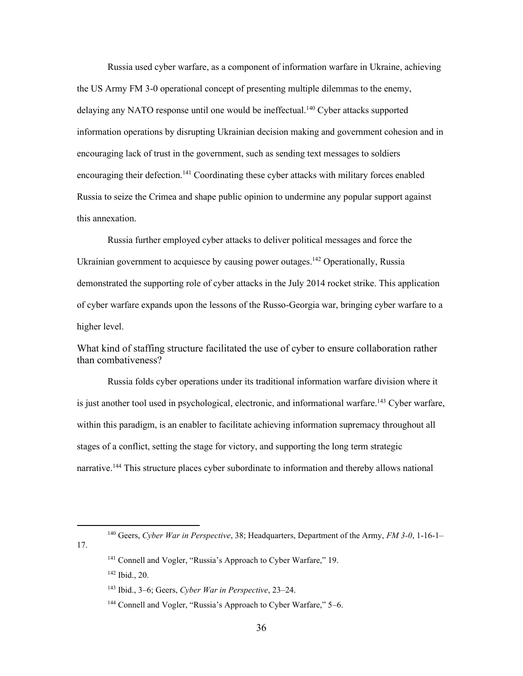the US Army FM 3-0 operational concept of presenting multiple dilemmas to the enemy, encouraging lack of trust in the government, such as sending text messages to soldiers Russia to seize the Crimea and shape public opinion to undermine any popular support against Russia used cyber warfare, as a component of information warfare in Ukraine, achieving delaying any NATO response until one would be ineffectual.<sup>140</sup> Cyber attacks supported information operations by disrupting Ukrainian decision making and government cohesion and in encouraging their defection.<sup>141</sup> Coordinating these cyber attacks with military forces enabled this annexation.

Russia further employed cyber attacks to deliver political messages and force the Ukrainian government to acquiesce by causing power outages.<sup>142</sup> Operationally, Russia demonstrated the supporting role of cyber attacks in the July 2014 rocket strike. This application of cyber warfare expands upon the lessons of the Russo-Georgia war, bringing cyber warfare to a higher level.

What kind of staffing structure facilitated the use of cyber to ensure collaboration rather than combativeness?

 within this paradigm, is an enabler to facilitate achieving information supremacy throughout all Russia folds cyber operations under its traditional information warfare division where it is just another tool used in psychological, electronic, and informational warfare.<sup>143</sup> Cyber warfare, stages of a conflict, setting the stage for victory, and supporting the long term strategic narrative.<sup>144</sup> This structure places cyber subordinate to information and thereby allows national

17.

 140 Geers, *Cyber War in Perspective*, 38; Headquarters, Department of the Army, *FM 3-0*, 1-16-1–

<sup>&</sup>lt;sup>141</sup> Connell and Vogler, "Russia's Approach to Cyber Warfare," 19.

<sup>142</sup> Ibid., 20.

 143 Ibid., 3–6; Geers, *Cyber War in Perspective*, 23–24.

<sup>&</sup>lt;sup>144</sup> Connell and Vogler, "Russia's Approach to Cyber Warfare," 5-6.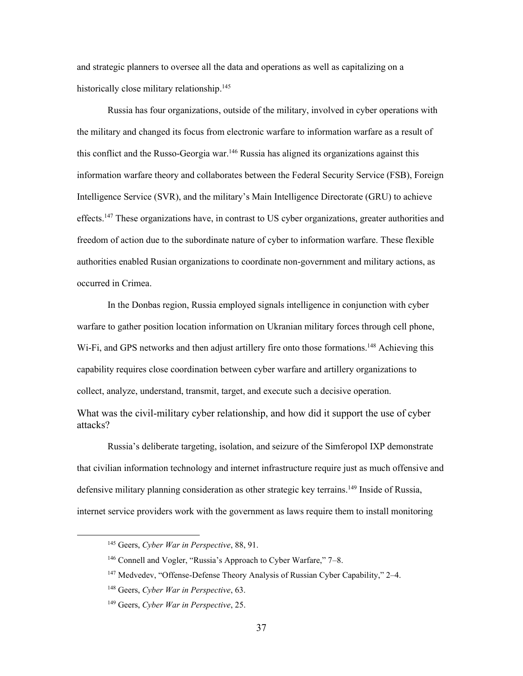and strategic planners to oversee all the data and operations as well as capitalizing on a historically close military relationship. 145

Russia has four organizations, outside of the military, involved in cyber operations with the military and changed its focus from electronic warfare to information warfare as a result of this conflict and the Russo-Georgia war.<sup>146</sup> Russia has aligned its organizations against this information warfare theory and collaborates between the Federal Security Service (FSB), Foreign Intelligence Service (SVR), and the military's Main Intelligence Directorate (GRU) to achieve effects.<sup>147</sup> These organizations have, in contrast to US cyber organizations, greater authorities and freedom of action due to the subordinate nature of cyber to information warfare. These flexible authorities enabled Rusian organizations to coordinate non-government and military actions, as occurred in Crimea.

In the Donbas region, Russia employed signals intelligence in conjunction with cyber warfare to gather position location information on Ukranian military forces through cell phone, Wi-Fi, and GPS networks and then adjust artillery fire onto those formations.<sup>148</sup> Achieving this capability requires close coordination between cyber warfare and artillery organizations to collect, analyze, understand, transmit, target, and execute such a decisive operation. What was the civil-military cyber relationship, and how did it support the use of cyber attacks?

Russia's deliberate targeting, isolation, and seizure of the Simferopol IXP demonstrate that civilian information technology and internet infrastructure require just as much offensive and defensive military planning consideration as other strategic key terrains.<sup>149</sup> Inside of Russia, internet service providers work with the government as laws require them to install monitoring

<sup>&</sup>lt;sup>145</sup> Geers, *Cyber War in Perspective*, 88, 91.

<sup>&</sup>lt;sup>146</sup> Connell and Vogler, "Russia's Approach to Cyber Warfare," 7–8.

<sup>&</sup>lt;sup>147</sup> Medvedev, "Offense-Defense Theory Analysis of Russian Cyber Capability," 2-4.

 148 Geers, *Cyber War in Perspective*, 63.

 149 Geers, *Cyber War in Perspective*, 25.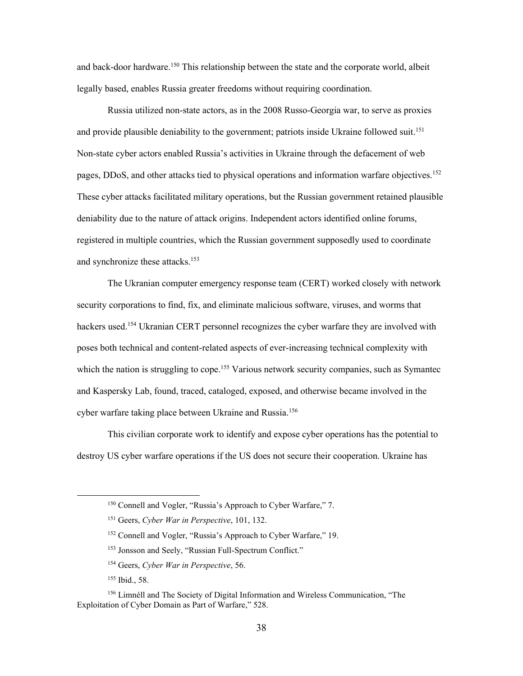and back-door hardware.<sup>150</sup> This relationship between the state and the corporate world, albeit legally based, enables Russia greater freedoms without requiring coordination.

Russia utilized non-state actors, as in the 2008 Russo-Georgia war, to serve as proxies and provide plausible deniability to the government; patriots inside Ukraine followed suit.<sup>151</sup> Non-state cyber actors enabled Russia's activities in Ukraine through the defacement of web pages, DDoS, and other attacks tied to physical operations and information warfare objectives.<sup>152</sup> These cyber attacks facilitated military operations, but the Russian government retained plausible deniability due to the nature of attack origins. Independent actors identified online forums, registered in multiple countries, which the Russian government supposedly used to coordinate and synchronize these attacks.<sup>153</sup>

 The Ukranian computer emergency response team (CERT) worked closely with network security corporations to find, fix, and eliminate malicious software, viruses, and worms that hackers used.<sup>154</sup> Ukranian CERT personnel recognizes the cyber warfare they are involved with poses both technical and content-related aspects of ever-increasing technical complexity with which the nation is struggling to cope.<sup>155</sup> Various network security companies, such as Symantec and Kaspersky Lab, found, traced, cataloged, exposed, and otherwise became involved in the cyber warfare taking place between Ukraine and Russia.<sup>156</sup>

 This civilian corporate work to identify and expose cyber operations has the potential to destroy US cyber warfare operations if the US does not secure their cooperation. Ukraine has

<sup>&</sup>lt;sup>150</sup> Connell and Vogler, "Russia's Approach to Cyber Warfare," 7.

 151 Geers, *Cyber War in Perspective*, 101, 132.

<sup>&</sup>lt;sup>152</sup> Connell and Vogler, "Russia's Approach to Cyber Warfare," 19.

<sup>&</sup>lt;sup>153</sup> Jonsson and Seely, "Russian Full-Spectrum Conflict."

 154 Geers, *Cyber War in Perspective*, 56.

<sup>155</sup> Ibid., 58.

<sup>&</sup>lt;sup>156</sup> Limnéll and The Society of Digital Information and Wireless Communication, "The Exploitation of Cyber Domain as Part of Warfare," 528.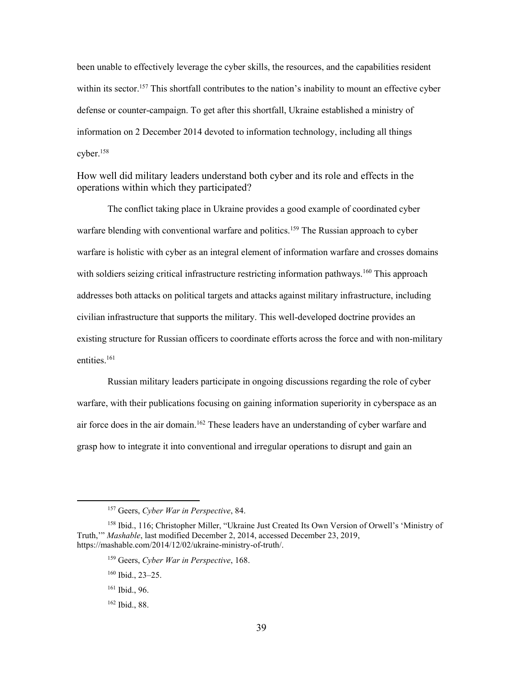been unable to effectively leverage the cyber skills, the resources, and the capabilities resident within its sector.<sup>157</sup> This shortfall contributes to the nation's inability to mount an effective cyber defense or counter-campaign. To get after this shortfall, Ukraine established a ministry of information on 2 December 2014 devoted to information technology, including all things cyber.158

How well did military leaders understand both cyber and its role and effects in the operations within which they participated?

 warfare is holistic with cyber as an integral element of information warfare and crosses domains The conflict taking place in Ukraine provides a good example of coordinated cyber warfare blending with conventional warfare and politics.<sup>159</sup> The Russian approach to cyber with soldiers seizing critical infrastructure restricting information pathways.<sup>160</sup> This approach addresses both attacks on political targets and attacks against military infrastructure, including civilian infrastructure that supports the military. This well-developed doctrine provides an existing structure for Russian officers to coordinate efforts across the force and with non-military entities.<sup>161</sup>

 Russian military leaders participate in ongoing discussions regarding the role of cyber warfare, with their publications focusing on gaining information superiority in cyberspace as an air force does in the air domain.<sup>162</sup> These leaders have an understanding of cyber warfare and grasp how to integrate it into conventional and irregular operations to disrupt and gain an

 157 Geers, *Cyber War in Perspective*, 84.

<sup>158</sup> Ibid., 116; Christopher Miller, "Ukraine Just Created Its Own Version of Orwell's 'Ministry of Truth,'" *Mashable*, last modified December 2, 2014, accessed December 23, 2019, <https://mashable.com/2014/12/02/ukraine-ministry-of-truth>/.

 159 Geers, *Cyber War in Perspective*, 168.

 $160$  Ibid., 23–25.

<sup>161</sup> Ibid., 96.

<sup>162</sup> Ibid., 88.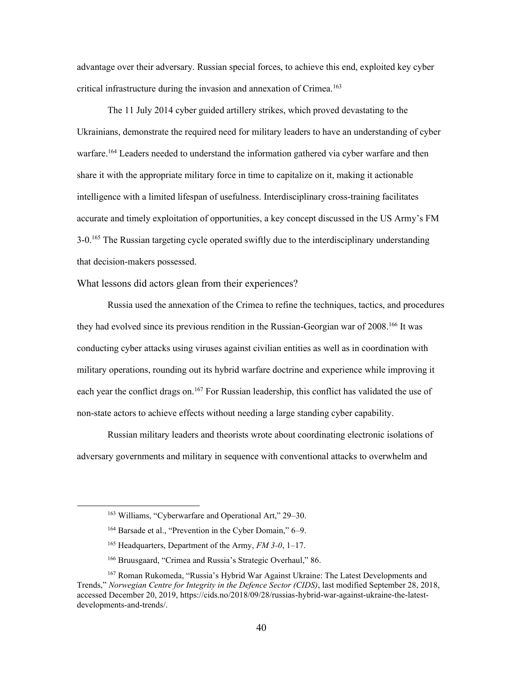advantage over their adversary. Russian special forces, to achieve this end, exploited key cyber critical infrastructure during the invasion and annexation of Crimea.163

The 11 July 2014 cyber guided artillery strikes, which proved devastating to the Ukrainians, demonstrate the required need for military leaders to have an understanding of cyber warfare.<sup>164</sup> Leaders needed to understand the information gathered via cyber warfare and then share it with the appropriate military force in time to capitalize on it, making it actionable intelligence with a limited lifespan of usefulness. Interdisciplinary cross-training facilitates accurate and timely exploitation of opportunities, a key concept discussed in the US Army's FM 3-0.<sup>165</sup> The Russian targeting cycle operated swiftly due to the interdisciplinary understanding that decision-makers possessed.

What lessons did actors glean from their experiences?

 conducting cyber attacks using viruses against civilian entities as well as in coordination with Russia used the annexation of the Crimea to refine the techniques, tactics, and procedures they had evolved since its previous rendition in the Russian-Georgian war of 2008.166 It was military operations, rounding out its hybrid warfare doctrine and experience while improving it each year the conflict drags on.<sup>167</sup> For Russian leadership, this conflict has validated the use of non-state actors to achieve effects without needing a large standing cyber capability.

Russian military leaders and theorists wrote about coordinating electronic isolations of adversary governments and military in sequence with conventional attacks to overwhelm and

<sup>163</sup> Williams, "Cyberwarfare and Operational Art," 29–30.

 164 Barsade et al., "Prevention in the Cyber Domain," 6–9.

 165 Headquarters, Department of the Army, *FM 3-0*, 1–17.

<sup>166</sup> Bruusgaard, "Crimea and Russia's Strategic Overhaul," 86.

<sup>&</sup>lt;sup>167</sup> Roman Rukomeda, "Russia's Hybrid War Against Ukraine: The Latest Developments and  Trends," *Norwegian Centre for Integrity in the Defence Sector (CIDS)*, last modified September 28, 2018, accessed December 20, 2019,<https://cids.no/2018/09/28/russias-hybrid-war-against-ukraine-the-latest>developments-and-trends/.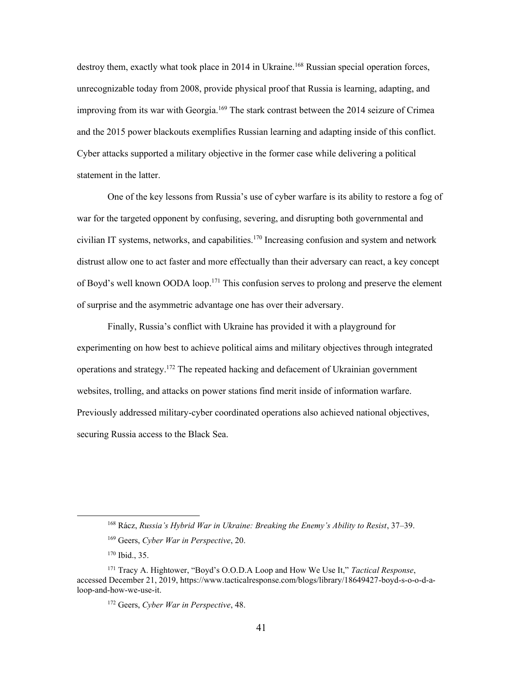destroy them, exactly what took place in 2014 in Ukraine.<sup>168</sup> Russian special operation forces, unrecognizable today from 2008, provide physical proof that Russia is learning, adapting, and improving from its war with Georgia.<sup>169</sup> The stark contrast between the 2014 seizure of Crimea and the 2015 power blackouts exemplifies Russian learning and adapting inside of this conflict. Cyber attacks supported a military objective in the former case while delivering a political statement in the latter.

 distrust allow one to act faster and more effectually than their adversary can react, a key concept One of the key lessons from Russia's use of cyber warfare is its ability to restore a fog of war for the targeted opponent by confusing, severing, and disrupting both governmental and civilian IT systems, networks, and capabilities.170 Increasing confusion and system and network of Boyd's well known OODA loop.<sup>171</sup> This confusion serves to prolong and preserve the element of surprise and the asymmetric advantage one has over their adversary.

Finally, Russia's conflict with Ukraine has provided it with a playground for experimenting on how best to achieve political aims and military objectives through integrated operations and strategy.172 The repeated hacking and defacement of Ukrainian government websites, trolling, and attacks on power stations find merit inside of information warfare. Previously addressed military-cyber coordinated operations also achieved national objectives, securing Russia access to the Black Sea.

 168 Rácz, *Russia's Hybrid War in Ukraine: Breaking the Enemy's Ability to Resist*, 37–39.

<sup>169</sup> Geers, *Cyber War in Perspective*, 20.

<sup>170</sup> Ibid., 35.

 171 Tracy A. Hightower, "Boyd's O.O.D.A Loop and How We Use It," *Tactical Response*, accessed December 21, 2019,<https://www.tacticalresponse.com/blogs/library/18649427-boyd-s-o-o-d-a>loop-and-how-we-use-it.

 172 Geers, *Cyber War in Perspective*, 48.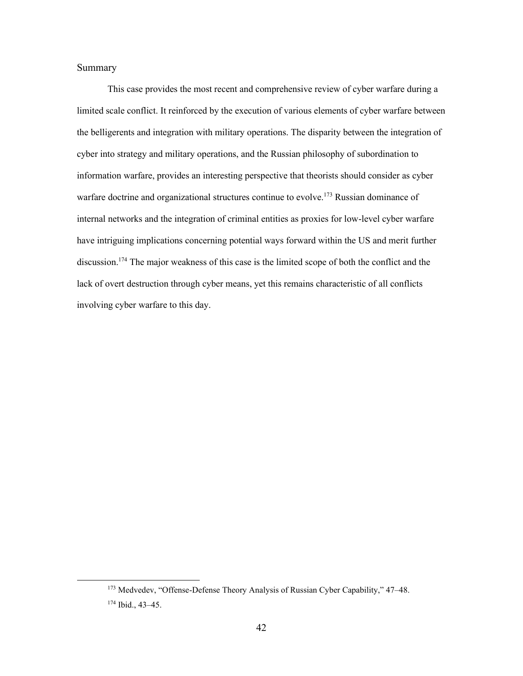#### Summary

 limited scale conflict. It reinforced by the execution of various elements of cyber warfare between lack of overt destruction through cyber means, yet this remains characteristic of all conflicts This case provides the most recent and comprehensive review of cyber warfare during a the belligerents and integration with military operations. The disparity between the integration of cyber into strategy and military operations, and the Russian philosophy of subordination to information warfare, provides an interesting perspective that theorists should consider as cyber warfare doctrine and organizational structures continue to evolve.<sup>173</sup> Russian dominance of internal networks and the integration of criminal entities as proxies for low-level cyber warfare have intriguing implications concerning potential ways forward within the US and merit further discussion. 174 The major weakness of this case is the limited scope of both the conflict and the involving cyber warfare to this day.

<sup>&</sup>lt;sup>173</sup> Medvedev, "Offense-Defense Theory Analysis of Russian Cyber Capability," 47-48.

<sup>174</sup> Ibid., 43–45.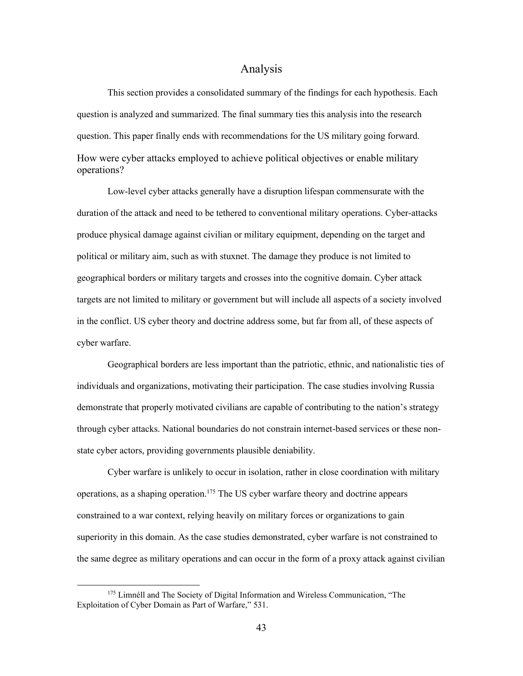#### Analysis

<span id="page-49-0"></span>This section provides a consolidated summary of the findings for each hypothesis. Each question is analyzed and summarized. The final summary ties this analysis into the research question. This paper finally ends with recommendations for the US military going forward. How were cyber attacks employed to achieve political objectives or enable military operations?

 produce physical damage against civilian or military equipment, depending on the target and in the conflict. US cyber theory and doctrine address some, but far from all, of these aspects of Low-level cyber attacks generally have a disruption lifespan commensurate with the duration of the attack and need to be tethered to conventional military operations. Cyber-attacks political or military aim, such as with stuxnet. The damage they produce is not limited to geographical borders or military targets and crosses into the cognitive domain. Cyber attack targets are not limited to military or government but will include all aspects of a society involved cyber warfare.

Geographical borders are less important than the patriotic, ethnic, and nationalistic ties of individuals and organizations, motivating their participation. The case studies involving Russia demonstrate that properly motivated civilians are capable of contributing to the nation's strategy through cyber attacks. National boundaries do not constrain internet-based services or these nonstate cyber actors, providing governments plausible deniability.

Cyber warfare is unlikely to occur in isolation, rather in close coordination with military operations, as a shaping operation.175 The US cyber warfare theory and doctrine appears constrained to a war context, relying heavily on military forces or organizations to gain superiority in this domain. As the case studies demonstrated, cyber warfare is not constrained to the same degree as military operations and can occur in the form of a proxy attack against civilian

<sup>&</sup>lt;sup>175</sup> Limnéll and The Society of Digital Information and Wireless Communication, "The Exploitation of Cyber Domain as Part of Warfare," 531.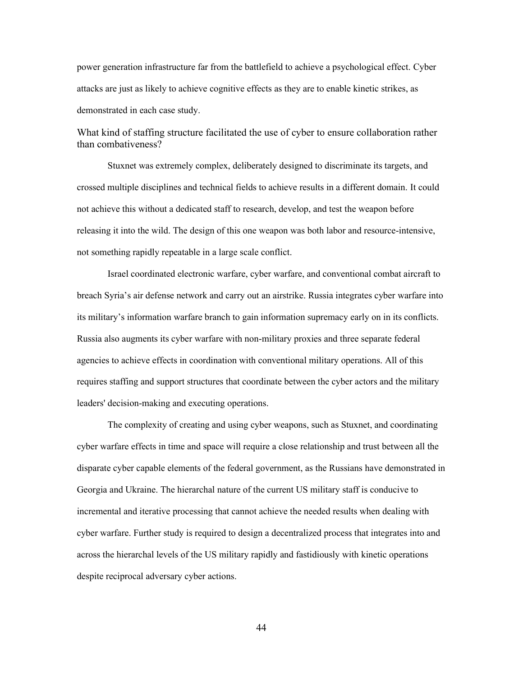attacks are just as likely to achieve cognitive effects as they are to enable kinetic strikes, as power generation infrastructure far from the battlefield to achieve a psychological effect. Cyber demonstrated in each case study.

What kind of staffing structure facilitated the use of cyber to ensure collaboration rather than combativeness?

Stuxnet was extremely complex, deliberately designed to discriminate its targets, and crossed multiple disciplines and technical fields to achieve results in a different domain. It could not achieve this without a dedicated staff to research, develop, and test the weapon before releasing it into the wild. The design of this one weapon was both labor and resource-intensive, not something rapidly repeatable in a large scale conflict.

Israel coordinated electronic warfare, cyber warfare, and conventional combat aircraft to breach Syria's air defense network and carry out an airstrike. Russia integrates cyber warfare into its military's information warfare branch to gain information supremacy early on in its conflicts. Russia also augments its cyber warfare with non-military proxies and three separate federal agencies to achieve effects in coordination with conventional military operations. All of this requires staffing and support structures that coordinate between the cyber actors and the military leaders' decision-making and executing operations.

The complexity of creating and using cyber weapons, such as Stuxnet, and coordinating cyber warfare effects in time and space will require a close relationship and trust between all the disparate cyber capable elements of the federal government, as the Russians have demonstrated in Georgia and Ukraine. The hierarchal nature of the current US military staff is conducive to incremental and iterative processing that cannot achieve the needed results when dealing with cyber warfare. Further study is required to design a decentralized process that integrates into and across the hierarchal levels of the US military rapidly and fastidiously with kinetic operations despite reciprocal adversary cyber actions.

44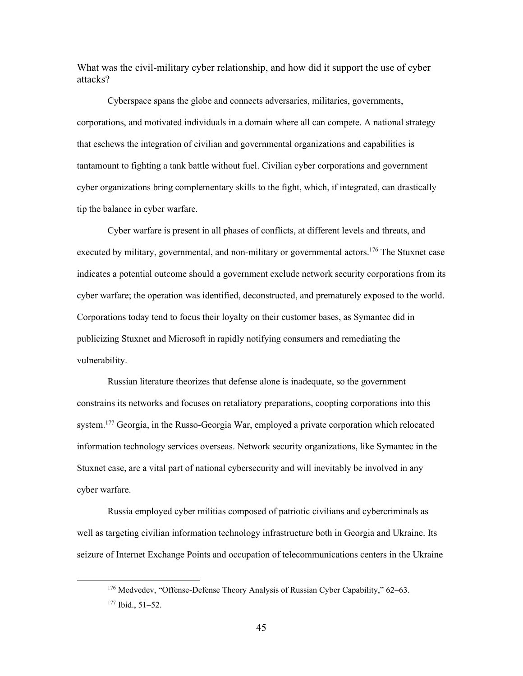What was the civil-military cyber relationship, and how did it support the use of cyber attacks?

Cyberspace spans the globe and connects adversaries, militaries, governments, corporations, and motivated individuals in a domain where all can compete. A national strategy that eschews the integration of civilian and governmental organizations and capabilities is tantamount to fighting a tank battle without fuel. Civilian cyber corporations and government cyber organizations bring complementary skills to the fight, which, if integrated, can drastically tip the balance in cyber warfare.

 indicates a potential outcome should a government exclude network security corporations from its Cyber warfare is present in all phases of conflicts, at different levels and threats, and executed by military, governmental, and non-military or governmental actors.<sup>176</sup> The Stuxnet case cyber warfare; the operation was identified, deconstructed, and prematurely exposed to the world. Corporations today tend to focus their loyalty on their customer bases, as Symantec did in publicizing Stuxnet and Microsoft in rapidly notifying consumers and remediating the vulnerability.

Russian literature theorizes that defense alone is inadequate, so the government constrains its networks and focuses on retaliatory preparations, coopting corporations into this system.<sup>177</sup> Georgia, in the Russo-Georgia War, employed a private corporation which relocated information technology services overseas. Network security organizations, like Symantec in the Stuxnet case, are a vital part of national cybersecurity and will inevitably be involved in any cyber warfare.

Russia employed cyber militias composed of patriotic civilians and cybercriminals as well as targeting civilian information technology infrastructure both in Georgia and Ukraine. Its seizure of Internet Exchange Points and occupation of telecommunications centers in the Ukraine

<sup>&</sup>lt;sup>176</sup> Medvedev, "Offense-Defense Theory Analysis of Russian Cyber Capability," 62–63.

<sup>177</sup> Ibid., 51–52.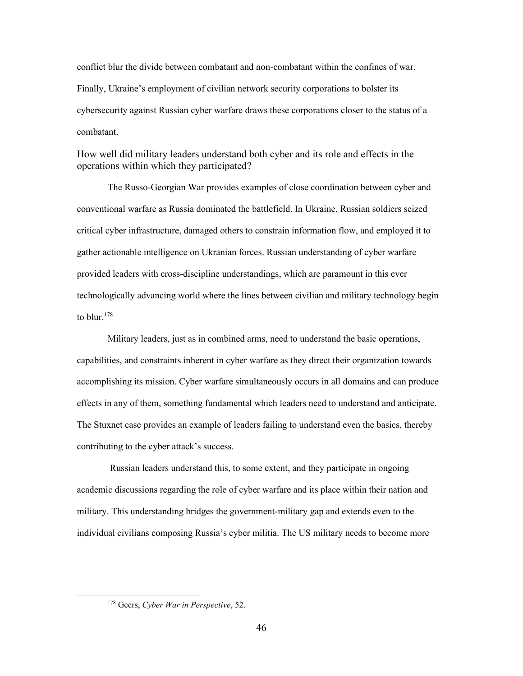conflict blur the divide between combatant and non-combatant within the confines of war. Finally, Ukraine's employment of civilian network security corporations to bolster its cybersecurity against Russian cyber warfare draws these corporations closer to the status of a combatant.

How well did military leaders understand both cyber and its role and effects in the operations within which they participated?

The Russo-Georgian War provides examples of close coordination between cyber and conventional warfare as Russia dominated the battlefield. In Ukraine, Russian soldiers seized critical cyber infrastructure, damaged others to constrain information flow, and employed it to gather actionable intelligence on Ukranian forces. Russian understanding of cyber warfare provided leaders with cross-discipline understandings, which are paramount in this ever technologically advancing world where the lines between civilian and military technology begin to blur. 178

Military leaders, just as in combined arms, need to understand the basic operations, capabilities, and constraints inherent in cyber warfare as they direct their organization towards accomplishing its mission. Cyber warfare simultaneously occurs in all domains and can produce effects in any of them, something fundamental which leaders need to understand and anticipate. The Stuxnet case provides an example of leaders failing to understand even the basics, thereby contributing to the cyber attack's success.

Russian leaders understand this, to some extent, and they participate in ongoing academic discussions regarding the role of cyber warfare and its place within their nation and military. This understanding bridges the government-military gap and extends even to the individual civilians composing Russia's cyber militia. The US military needs to become more

 178 Geers, *Cyber War in Perspective*, 52.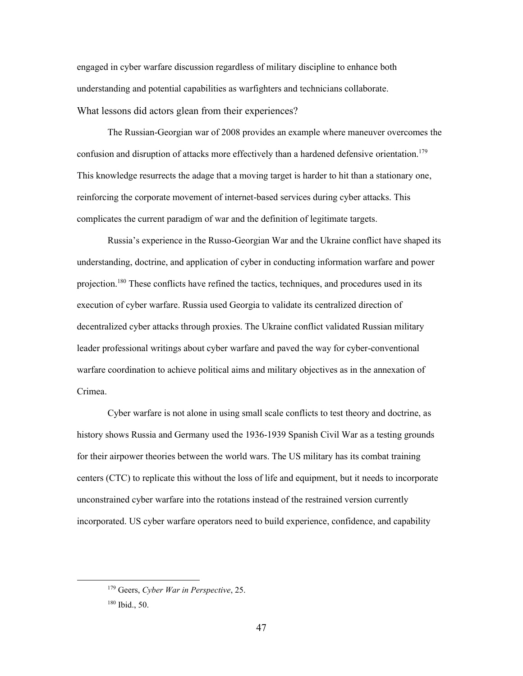understanding and potential capabilities as warfighters and technicians collaborate. engaged in cyber warfare discussion regardless of military discipline to enhance both What lessons did actors glean from their experiences?

 reinforcing the corporate movement of internet-based services during cyber attacks. This The Russian-Georgian war of 2008 provides an example where maneuver overcomes the confusion and disruption of attacks more effectively than a hardened defensive orientation.<sup>179</sup> This knowledge resurrects the adage that a moving target is harder to hit than a stationary one, complicates the current paradigm of war and the definition of legitimate targets.

 warfare coordination to achieve political aims and military objectives as in the annexation of Russia's experience in the Russo-Georgian War and the Ukraine conflict have shaped its understanding, doctrine, and application of cyber in conducting information warfare and power projection.<sup>180</sup> These conflicts have refined the tactics, techniques, and procedures used in its execution of cyber warfare. Russia used Georgia to validate its centralized direction of decentralized cyber attacks through proxies. The Ukraine conflict validated Russian military leader professional writings about cyber warfare and paved the way for cyber-conventional Crimea.

 for their airpower theories between the world wars. The US military has its combat training centers (CTC) to replicate this without the loss of life and equipment, but it needs to incorporate Cyber warfare is not alone in using small scale conflicts to test theory and doctrine, as history shows Russia and Germany used the 1936-1939 Spanish Civil War as a testing grounds unconstrained cyber warfare into the rotations instead of the restrained version currently incorporated. US cyber warfare operators need to build experience, confidence, and capability

 179 Geers, *Cyber War in Perspective*, 25.

<sup>180</sup> Ibid., 50.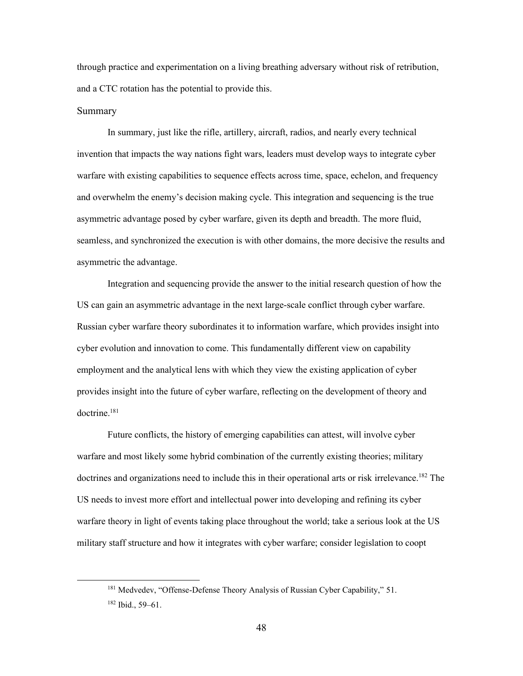through practice and experimentation on a living breathing adversary without risk of retribution, and a CTC rotation has the potential to provide this.

#### Summary

 warfare with existing capabilities to sequence effects across time, space, echelon, and frequency In summary, just like the rifle, artillery, aircraft, radios, and nearly every technical invention that impacts the way nations fight wars, leaders must develop ways to integrate cyber and overwhelm the enemy's decision making cycle. This integration and sequencing is the true asymmetric advantage posed by cyber warfare, given its depth and breadth. The more fluid, seamless, and synchronized the execution is with other domains, the more decisive the results and asymmetric the advantage.

Integration and sequencing provide the answer to the initial research question of how the US can gain an asymmetric advantage in the next large-scale conflict through cyber warfare. Russian cyber warfare theory subordinates it to information warfare, which provides insight into cyber evolution and innovation to come. This fundamentally different view on capability employment and the analytical lens with which they view the existing application of cyber provides insight into the future of cyber warfare, reflecting on the development of theory and doctrine.181

 US needs to invest more effort and intellectual power into developing and refining its cyber warfare theory in light of events taking place throughout the world; take a serious look at the US Future conflicts, the history of emerging capabilities can attest, will involve cyber warfare and most likely some hybrid combination of the currently existing theories; military doctrines and organizations need to include this in their operational arts or risk irrelevance.<sup>182</sup> The military staff structure and how it integrates with cyber warfare; consider legislation to coopt

<sup>&</sup>lt;sup>181</sup> Medvedev, "Offense-Defense Theory Analysis of Russian Cyber Capability," 51.

<sup>182</sup> Ibid., 59–61.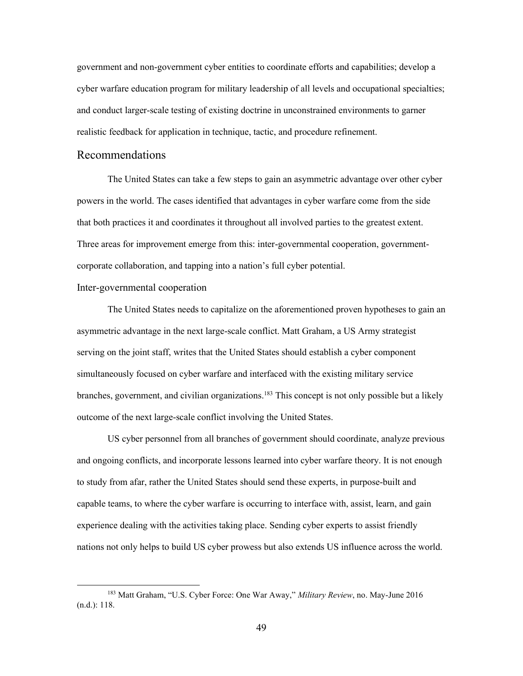cyber warfare education program for military leadership of all levels and occupational specialties; government and non-government cyber entities to coordinate efforts and capabilities; develop a and conduct larger-scale testing of existing doctrine in unconstrained environments to garner realistic feedback for application in technique, tactic, and procedure refinement.

# <span id="page-55-0"></span>Recommendations

 that both practices it and coordinates it throughout all involved parties to the greatest extent. Three areas for improvement emerge from this: inter-governmental cooperation, government-The United States can take a few steps to gain an asymmetric advantage over other cyber powers in the world. The cases identified that advantages in cyber warfare come from the side corporate collaboration, and tapping into a nation's full cyber potential.

#### Inter-governmental cooperation

branches, government, and civilian organizations.<sup>183</sup> This concept is not only possible but a likely outcome of the next large-scale conflict involving the United States. The United States needs to capitalize on the aforementioned proven hypotheses to gain an asymmetric advantage in the next large-scale conflict. Matt Graham, a US Army strategist serving on the joint staff, writes that the United States should establish a cyber component simultaneously focused on cyber warfare and interfaced with the existing military service

 US cyber personnel from all branches of government should coordinate, analyze previous and ongoing conflicts, and incorporate lessons learned into cyber warfare theory. It is not enough to study from afar, rather the United States should send these experts, in purpose-built and capable teams, to where the cyber warfare is occurring to interface with, assist, learn, and gain experience dealing with the activities taking place. Sending cyber experts to assist friendly nations not only helps to build US cyber prowess but also extends US influence across the world.

 183 Matt Graham, "U.S. Cyber Force: One War Away," *Military Review*, no. May-June 2016 (n.d.): 118.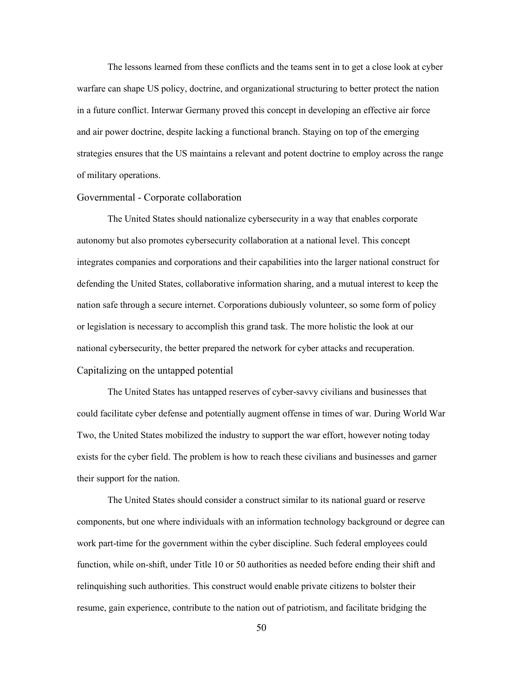The lessons learned from these conflicts and the teams sent in to get a close look at cyber warfare can shape US policy, doctrine, and organizational structuring to better protect the nation in a future conflict. Interwar Germany proved this concept in developing an effective air force and air power doctrine, despite lacking a functional branch. Staying on top of the emerging strategies ensures that the US maintains a relevant and potent doctrine to employ across the range of military operations.

#### Governmental - Corporate collaboration

 integrates companies and corporations and their capabilities into the larger national construct for The United States should nationalize cybersecurity in a way that enables corporate autonomy but also promotes cybersecurity collaboration at a national level. This concept defending the United States, collaborative information sharing, and a mutual interest to keep the nation safe through a secure internet. Corporations dubiously volunteer, so some form of policy or legislation is necessary to accomplish this grand task. The more holistic the look at our national cybersecurity, the better prepared the network for cyber attacks and recuperation. Capitalizing on the untapped potential

 could facilitate cyber defense and potentially augment offense in times of war. During World War exists for the cyber field. The problem is how to reach these civilians and businesses and garner their support for the nation. The United States has untapped reserves of cyber-savvy civilians and businesses that Two, the United States mobilized the industry to support the war effort, however noting today

 relinquishing such authorities. This construct would enable private citizens to bolster their The United States should consider a construct similar to its national guard or reserve components, but one where individuals with an information technology background or degree can work part-time for the government within the cyber discipline. Such federal employees could function, while on-shift, under Title 10 or 50 authorities as needed before ending their shift and resume, gain experience, contribute to the nation out of patriotism, and facilitate bridging the

50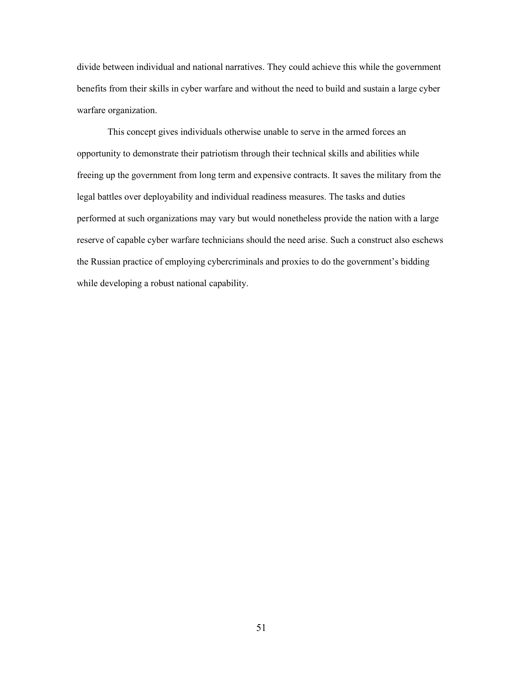divide between individual and national narratives. They could achieve this while the government benefits from their skills in cyber warfare and without the need to build and sustain a large cyber warfare organization.

 opportunity to demonstrate their patriotism through their technical skills and abilities while freeing up the government from long term and expensive contracts. It saves the military from the This concept gives individuals otherwise unable to serve in the armed forces an legal battles over deployability and individual readiness measures. The tasks and duties performed at such organizations may vary but would nonetheless provide the nation with a large reserve of capable cyber warfare technicians should the need arise. Such a construct also eschews the Russian practice of employing cybercriminals and proxies to do the government's bidding while developing a robust national capability.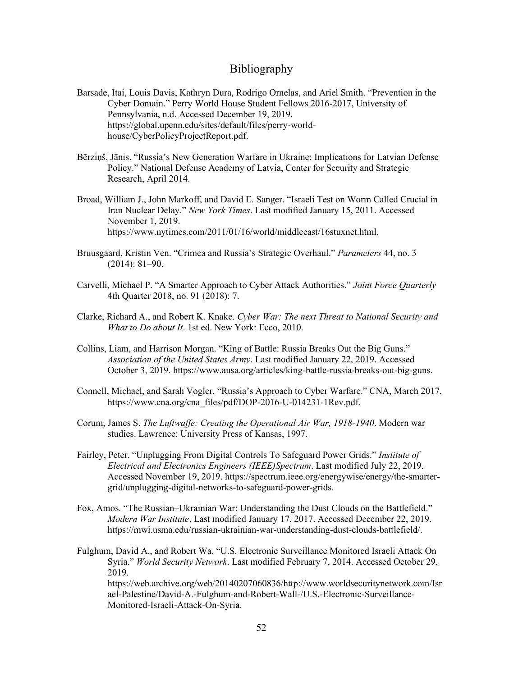## Bibliography

- <span id="page-58-0"></span>Barsade, Itai, Louis Davis, Kathryn Dura, Rodrigo Ornelas, and Ariel Smith. "Prevention in the Cyber Domain." Perry World House Student Fellows 2016-2017, University of Pennsylvania, n.d. Accessed December 19, 2019. <https://global.upenn.edu/sites/default/files/perry-world>house/CyberPolicyProjectReport.pdf.
- Bērziņš, Jānis. "Russia's New Generation Warfare in Ukraine: Implications for Latvian Defense Policy." National Defense Academy of Latvia, Center for Security and Strategic Research, April 2014.
- Broad, William J., John Markoff, and David E. Sanger. "Israeli Test on Worm Called Crucial in Iran Nuclear Delay." *New York Times*. Last modified January 15, 2011. Accessed November 1, 2019. [https://www.nytimes.com/2011/01/16/world/middleeast/16stuxnet.html.](https://www.nytimes.com/2011/01/16/world/middleeast/16stuxnet.html)
- Bruusgaard, Kristin Ven. "Crimea and Russia's Strategic Overhaul." *Parameters* 44, no. 3 (2014): 81–90.
- Carvelli, Michael P. "A Smarter Approach to Cyber Attack Authorities." *Joint Force Quarterly*  4th Quarter 2018, no. 91 (2018): 7.
- Clarke, Richard A., and Robert K. Knake. *Cyber War: The next Threat to National Security and What to Do about It*. 1st ed. New York: Ecco, 2010.
- Collins, Liam, and Harrison Morgan. "King of Battle: Russia Breaks Out the Big Guns." *Association of the United States Army*. Last modified January 22, 2019. Accessed October 3, 2019. <https://www.ausa.org/articles/king-battle-russia-breaks-out-big-guns>.
- Connell, Michael, and Sarah Vogler. "Russia's Approach to Cyber Warfare." CNA, March 2017. [https://www.cna.org/cna\\_files/pdf/DOP-2016-U-014231-1Rev.pdf.](https://www.cna.org/cna_files/pdf/DOP-2016-U-014231-1Rev.pdf)
- Corum, James S. *The Luftwaffe: Creating the Operational Air War, 1918-1940*. Modern war studies. Lawrence: University Press of Kansas, 1997.
- Fairley, Peter. "Unplugging From Digital Controls To Safeguard Power Grids." *Institute of Electrical and Electronics Engineers (IEEE)Spectrum*. Last modified July 22, 2019. Accessed November 19, 2019. <https://spectrum.ieee.org/energywise/energy/the-smarter>grid/unplugging-digital-networks-to-safeguard-power-grids.
- Fox, Amos. "The Russian–Ukrainian War: Understanding the Dust Clouds on the Battlefield." *Modern War Institute*. Last modified January 17, 2017. Accessed December 22, 2019. [https://mwi.usma.edu/russian-ukrainian-war-understanding-dust-clouds-battlefield/](https://mwi.usma.edu/russian-ukrainian-war-understanding-dust-clouds-battlefield).
- Fulghum, David A., and Robert Wa. "U.S. Electronic Surveillance Monitored Israeli Attack On Syria." *World Security Network*. Last modified February 7, 2014. Accessed October 29, 2019.

<https://web.archive.org/web/20140207060836/http://www.worldsecuritynetwork.com/Isr> ael-Palestine/David-A.-Fulghum-and-Robert-Wall-/U.S.-Electronic-Surveillance-Monitored-Israeli-Attack-On-Syria.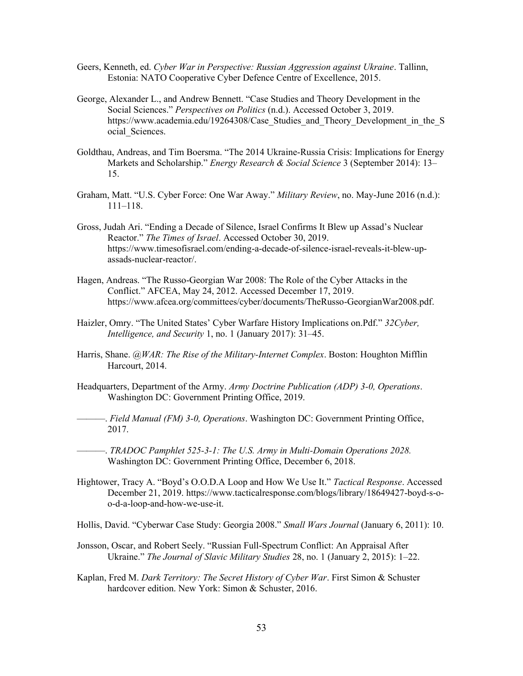- Geers, Kenneth, ed. *Cyber War in Perspective: Russian Aggression against Ukraine*. Tallinn, Estonia: NATO Cooperative Cyber Defence Centre of Excellence, 2015.
- George, Alexander L., and Andrew Bennett. "Case Studies and Theory Development in the Social Sciences." *Perspectives on Politics* (n.d.). Accessed October 3, 2019. https://www.academia.edu/19264308/Case Studies and Theory Development in the S ocial\_Sciences.
- Goldthau, Andreas, and Tim Boersma. "The 2014 Ukraine-Russia Crisis: Implications for Energy Markets and Scholarship." *Energy Research & Social Science* 3 (September 2014): 13– 15.
- Graham, Matt. "U.S. Cyber Force: One War Away." *Military Review*, no. May-June 2016 (n.d.): 111–118.
- Gross, Judah Ari. "Ending a Decade of Silence, Israel Confirms It Blew up Assad's Nuclear Reactor." *The Times of Israel*. Accessed October 30, 2019. <https://www.timesofisrael.com/ending-a-decade-of-silence-israel-reveals-it-blew-up>assads-nuclear-reactor/.
- Hagen, Andreas. "The Russo-Georgian War 2008: The Role of the Cyber Attacks in the Conflict." AFCEA, May 24, 2012. Accessed December 17, 2019. [https://www.afcea.org/committees/cyber/documents/TheRusso-GeorgianWar2008.pdf.](https://www.afcea.org/committees/cyber/documents/TheRusso-GeorgianWar2008.pdf)
- Haizler, Omry. "The United States' Cyber Warfare History Implications on.Pdf." *32Cyber, Intelligence, and Security* 1, no. 1 (January 2017): 31–45.
- Harris, Shane. *@WAR: The Rise of the Military-Internet Complex*. Boston: Houghton Mifflin Harcourt, 2014.
- Headquarters, Department of the Army. *Army Doctrine Publication (ADP) 3-0, Operations*. Washington DC: Government Printing Office, 2019.
- ———. *Field Manual (FM) 3-0, Operations*. Washington DC: Government Printing Office, 2017.
- ———. *TRADOC Pamphlet 525-3-1: The U.S. Army in Multi-Domain Operations 2028.*  Washington DC: Government Printing Office, December 6, 2018.
- Hightower, Tracy A. "Boyd's O.O.D.A Loop and How We Use It." *Tactical Response*. Accessed December 21, 2019.<https://www.tacticalresponse.com/blogs/library/18649427-boyd-s-o>o-d-a-loop-and-how-we-use-it.
- Hollis, David. "Cyberwar Case Study: Georgia 2008." *Small Wars Journal* (January 6, 2011): 10.
- Jonsson, Oscar, and Robert Seely. "Russian Full-Spectrum Conflict: An Appraisal After Ukraine." *The Journal of Slavic Military Studies* 28, no. 1 (January 2, 2015): 1–22.
- Kaplan, Fred M. *Dark Territory: The Secret History of Cyber War*. First Simon & Schuster hardcover edition. New York: Simon & Schuster, 2016.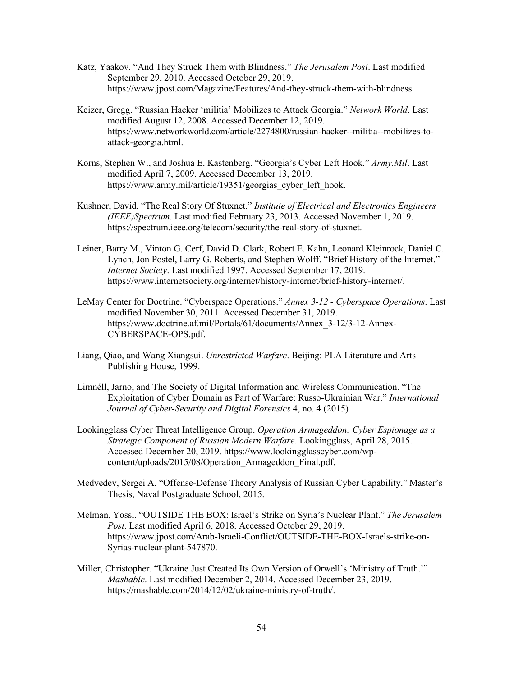- Katz, Yaakov. "And They Struck Them with Blindness." *The Jerusalem Post*. Last modified September 29, 2010. Accessed October 29, 2019. <https://www.jpost.com/Magazine/Features/And-they-struck-them-with-blindness>.
- Keizer, Gregg. "Russian Hacker 'militia' Mobilizes to Attack Georgia." *Network World*. Last modified August 12, 2008. Accessed December 12, 2019. <https://www.networkworld.com/article/2274800/russian-hacker--militia--mobilizes-to>attack-georgia.html.
- Korns, Stephen W., and Joshua E. Kastenberg. "Georgia's Cyber Left Hook." *[Army.Mil](https://Army.Mil)*. Last modified April 7, 2009. Accessed December 13, 2019. https://www.army.mil/article/19351/georgias cyber left hook.
- Kushner, David. "The Real Story Of Stuxnet." *Institute of Electrical and Electronics Engineers (IEEE)Spectrum*. Last modified February 23, 2013. Accessed November 1, 2019. <https://spectrum.ieee.org/telecom/security/the-real-story-of-stuxnet>.
- Leiner, Barry M., Vinton G. Cerf, David D. Clark, Robert E. Kahn, Leonard Kleinrock, Daniel C. Lynch, Jon Postel, Larry G. Roberts, and Stephen Wolff. "Brief History of the Internet." *Internet Society*. Last modified 1997. Accessed September 17, 2019. <https://www.internetsociety.org/internet/history-internet/brief-history-internet>/.
- LeMay Center for Doctrine. "Cyberspace Operations." *Annex 3-12 - Cyberspace Operations*. Last modified November 30, 2011. Accessed December 31, 2019. [https://www.doctrine.af.mil/Portals/61/documents/Annex\\_3-12/3-12-Annex-](https://www.doctrine.af.mil/Portals/61/documents/Annex_3-12/3-12-Annex)CYBERSPACE-OPS.pdf.
- Liang, Qiao, and Wang Xiangsui. *Unrestricted Warfare*. Beijing: PLA Literature and Arts Publishing House, 1999.
- Limnéll, Jarno, and The Society of Digital Information and Wireless Communication. "The Exploitation of Cyber Domain as Part of Warfare: Russo-Ukrainian War." *International Journal of Cyber-Security and Digital Forensics* 4, no. 4 (2015)
- Lookingglass Cyber Threat Intelligence Group. *Operation Armageddon: Cyber Espionage as a Strategic Component of Russian Modern Warfare*. Lookingglass, April 28, 2015. Accessed December 20, 2019.<https://www.lookingglasscyber.com/wp>content/uploads/2015/08/Operation\_Armageddon\_Final.pdf.
- Medvedev, Sergei A. "Offense-Defense Theory Analysis of Russian Cyber Capability." Master's Thesis, Naval Postgraduate School, 2015.
- Melman, Yossi. "OUTSIDE THE BOX: Israel's Strike on Syria's Nuclear Plant." *The Jerusalem Post*. Last modified April 6, 2018. Accessed October 29, 2019. <https://www.jpost.com/Arab-Israeli-Conflict/OUTSIDE-THE-BOX-Israels-strike-on>-Syrias-nuclear-plant-547870.
- Miller, Christopher. "Ukraine Just Created Its Own Version of Orwell's 'Ministry of Truth.'" *Mashable*. Last modified December 2, 2014. Accessed December 23, 2019. [https://mashable.com/2014/12/02/ukraine-ministry-of-truth/](https://mashable.com/2014/12/02/ukraine-ministry-of-truth).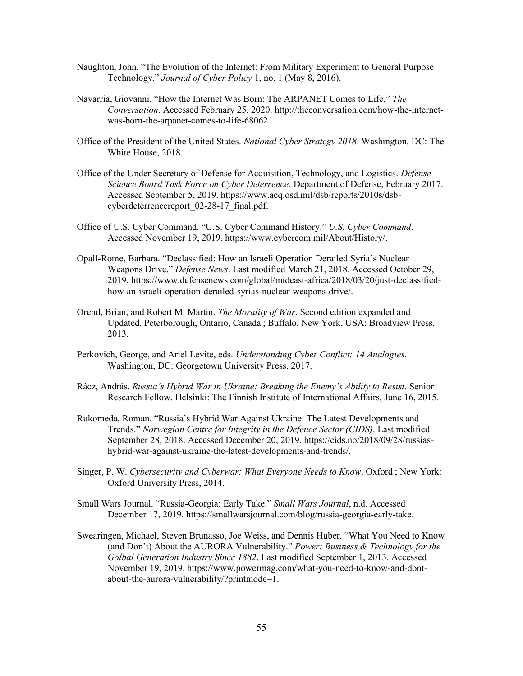- Naughton, John. "The Evolution of the Internet: From Military Experiment to General Purpose Technology." *Journal of Cyber Policy* 1, no. 1 (May 8, 2016).
- Navarria, Giovanni. "How the Internet Was Born: The ARPANET Comes to Life." *The Conversation*. Accessed February 25, 2020. <http://theconversation.com/how-the-internet>was-born-the-arpanet-comes-to-life-68062.
- Office of the President of the United States. *National Cyber Strategy 2018*. Washington, DC: The White House, 2018.
- Office of the Under Secretary of Defense for Acquisition, Technology, and Logistics. *Defense Science Board Task Force on Cyber Deterrence*. Department of Defense, February 2017. Accessed September 5, 2019. <https://www.acq.osd.mil/dsb/reports/2010s/dsb>cyberdeterrencereport 02-28-17 final.pdf.
- Office of U.S. Cyber Command. "U.S. Cyber Command History." *U.S. Cyber Command*. Accessed November 19, 2019. <https://www.cybercom.mil/About/History>/.
- Opall-Rome, Barbara. "Declassified: How an Israeli Operation Derailed Syria's Nuclear Weapons Drive." *Defense News*. Last modified March 21, 2018. Accessed October 29, 2019. <https://www.defensenews.com/global/mideast-africa/2018/03/20/just-declassified>how-an-israeli-operation-derailed-syrias-nuclear-weapons-drive/.
- Orend, Brian, and Robert M. Martin. *The Morality of War*. Second edition expanded and Updated. Peterborough, Ontario, Canada ; Buffalo, New York, USA: Broadview Press, 2013.
- Perkovich, George, and Ariel Levite, eds. *Understanding Cyber Conflict: 14 Analogies*. Washington, DC: Georgetown University Press, 2017.
- Rácz, András. *Russia's Hybrid War in Ukraine: Breaking the Enemy's Ability to Resist*. Senior Research Fellow. Helsinki: The Finnish Institute of International Affairs, June 16, 2015.
- Rukomeda, Roman. "Russia's Hybrid War Against Ukraine: The Latest Developments and Trends." *Norwegian Centre for Integrity in the Defence Sector (CIDS)*. Last modified September 28, 2018. Accessed December 20, 2019.<https://cids.no/2018/09/28/russias>hybrid-war-against-ukraine-the-latest-developments-and-trends/.
- Singer, P. W. *Cybersecurity and Cyberwar: What Everyone Needs to Know*. Oxford ; New York: Oxford University Press, 2014.
- Small Wars Journal. "Russia-Georgia: Early Take." *Small Wars Journal*, n.d. Accessed December 17, 2019. [https://smallwarsjournal.com/blog/russia-georgia-early-take.](https://smallwarsjournal.com/blog/russia-georgia-early-take)
- Swearingen, Michael, Steven Brunasso, Joe Weiss, and Dennis Huber. "What You Need to Know (and Don't) About the AURORA Vulnerability." *Power: Business & Technology for the Golbal Generation Industry Since 1882*. Last modified September 1, 2013. Accessed November 19, 2019.<https://www.powermag.com/what-you-need-to-know-and-dont>about-the-aurora-vulnerability/?printmode=1.